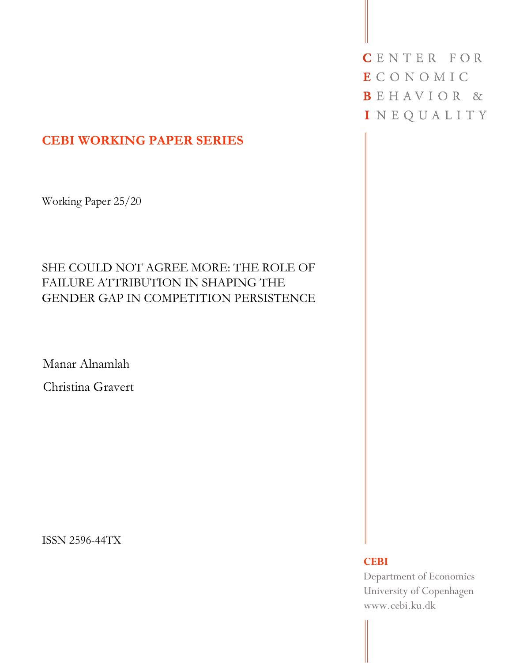# **CEBI WORKING PAPER SERIES**

Working Paper 25/20

# SHE COULD NOT AGREE MORE: THE ROLE OF FAILURE ATTRIBUTION IN SHAPING THE GENDER GAP IN COMPETITION PERSISTENCE

Manar Alnamlah

Christina Gravert

ISSN 2596-44TX

CENTER FOR **ECONOMIC** BEHAVIOR & INEQUALITY

## **CEBI**

Department of Economics University of Copenhagen www.cebi.ku.dk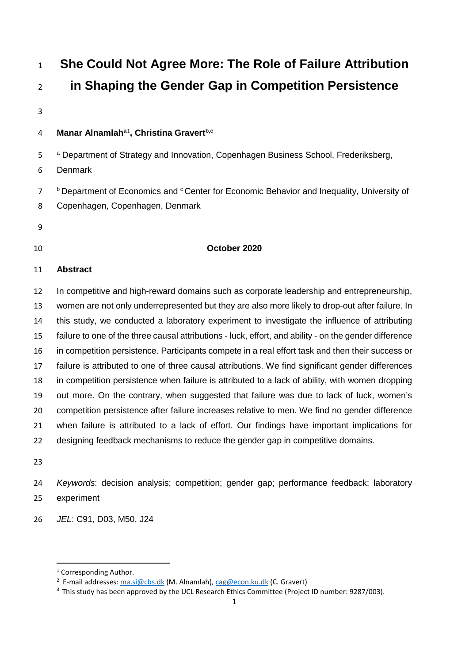**She Could Not Agree More: The Role of Failure Attribution in Shaping the Gender Gap in Competition Persistence** 4 Manar Alnamlah<sup>a[1](#page-1-0)</sup>, Christina Gravert<sup>b,c</sup>

<sup>a</sup> Department of Strategy and Innovation, Copenhagen Business School, Frederiksberg,

- Denmark
- <sup>b</sup> Department of Economics and <sup>c</sup> Center for Economic Behavior and Inequality, University of Copenhagen, Copenhagen, Denmark
- 
- 

## **October 2020**

## **Abstract**

 In competitive and high-reward domains such as corporate leadership and entrepreneurship, women are not only underrepresented but they are also more likely to drop-out after failure. In this study, we conducted a laboratory experiment to investigate the influence of attributing failure to one of the three causal attributions - luck, effort, and ability - on the gender difference in competition persistence. Participants compete in a real effort task and then their success or failure is attributed to one of three causal attributions. We find significant gender differences in competition persistence when failure is attributed to a lack of ability, with women dropping out more. On the contrary, when suggested that failure was due to lack of luck, women's competition persistence after failure increases relative to men. We find no gender difference when failure is attributed to a lack of effort. Our findings have important implications for 22 designing feedback mechanisms to reduce the gender gap in competitive domains.

 *Keywords*: decision analysis; competition; gender gap; performance feedback; laboratory experiment

*JEL*: C91, D03, M50, J24

<sup>&</sup>lt;sup>1</sup> Corresponding Author.

<sup>&</sup>lt;sup>2</sup> E-mail addresses: [ma.si@cbs.dk](mailto:ma.si@cbs.dk) (M. Alnamlah), [cag@econ.ku.dk](mailto:cag@econ.ku.dk) (C. Gravert)

<span id="page-1-0"></span><sup>&</sup>lt;sup>3</sup> This study has been approved by the UCL Research Ethics Committee (Project ID number: 9287/003).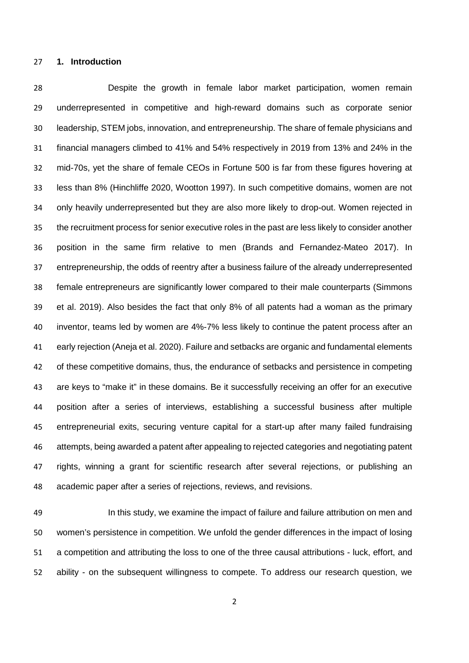### **1. Introduction**

 Despite the growth in female labor market participation, women remain underrepresented in competitive and high-reward domains such as corporate senior leadership, STEM jobs, innovation, and entrepreneurship. The share of female physicians and financial managers climbed to 41% and 54% respectively in 2019 from 13% and 24% in the mid-70s, yet the share of female CEOs in Fortune 500 is far from these figures hovering at less than 8% (Hinchliffe 2020, Wootton 1997). In such competitive domains, women are not only heavily underrepresented but they are also more likely to drop-out. Women rejected in the recruitment process for senior executive roles in the past are less likely to consider another position in the same firm relative to men (Brands and Fernandez-Mateo 2017). In entrepreneurship, the odds of reentry after a business failure of the already underrepresented female entrepreneurs are significantly lower compared to their male counterparts (Simmons et al. 2019). Also besides the fact that only 8% of all patents had a woman as the primary inventor, teams led by women are 4%-7% less likely to continue the patent process after an early rejection (Aneja et al. 2020). Failure and setbacks are organic and fundamental elements 42 of these competitive domains, thus, the endurance of setbacks and persistence in competing are keys to "make it" in these domains. Be it successfully receiving an offer for an executive position after a series of interviews, establishing a successful business after multiple entrepreneurial exits, securing venture capital for a start-up after many failed fundraising attempts, being awarded a patent after appealing to rejected categories and negotiating patent rights, winning a grant for scientific research after several rejections, or publishing an academic paper after a series of rejections, reviews, and revisions.

 In this study, we examine the impact of failure and failure attribution on men and women's persistence in competition. We unfold the gender differences in the impact of losing a competition and attributing the loss to one of the three causal attributions - luck, effort, and ability - on the subsequent willingness to compete. To address our research question, we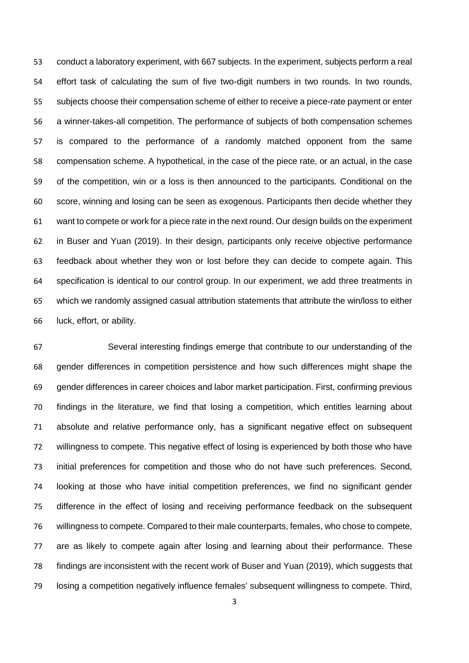conduct a laboratory experiment, with 667 subjects. In the experiment, subjects perform a real effort task of calculating the sum of five two-digit numbers in two rounds. In two rounds, subjects choose their compensation scheme of either to receive a piece-rate payment or enter a winner-takes-all competition. The performance of subjects of both compensation schemes is compared to the performance of a randomly matched opponent from the same compensation scheme. A hypothetical, in the case of the piece rate, or an actual, in the case of the competition, win or a loss is then announced to the participants. Conditional on the score, winning and losing can be seen as exogenous. Participants then decide whether they want to compete or work for a piece rate in the next round. Our design builds on the experiment in Buser and Yuan (2019). In their design, participants only receive objective performance feedback about whether they won or lost before they can decide to compete again. This specification is identical to our control group. In our experiment, we add three treatments in which we randomly assigned casual attribution statements that attribute the win/loss to either luck, effort, or ability.

 Several interesting findings emerge that contribute to our understanding of the gender differences in competition persistence and how such differences might shape the gender differences in career choices and labor market participation. First, confirming previous findings in the literature, we find that losing a competition, which entitles learning about absolute and relative performance only, has a significant negative effect on subsequent willingness to compete. This negative effect of losing is experienced by both those who have initial preferences for competition and those who do not have such preferences. Second, looking at those who have initial competition preferences, we find no significant gender difference in the effect of losing and receiving performance feedback on the subsequent willingness to compete. Compared to their male counterparts, females, who chose to compete, are as likely to compete again after losing and learning about their performance. These findings are inconsistent with the recent work of Buser and Yuan (2019), which suggests that losing a competition negatively influence females' subsequent willingness to compete. Third,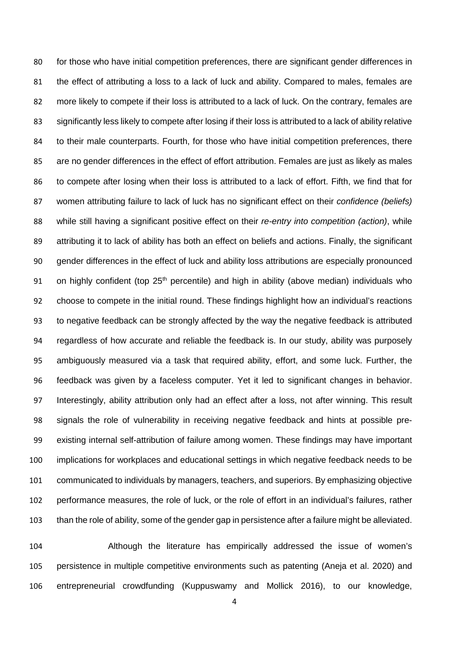for those who have initial competition preferences, there are significant gender differences in the effect of attributing a loss to a lack of luck and ability. Compared to males, females are more likely to compete if their loss is attributed to a lack of luck. On the contrary, females are significantly less likely to compete after losing if their loss is attributed to a lack of ability relative to their male counterparts. Fourth, for those who have initial competition preferences, there are no gender differences in the effect of effort attribution. Females are just as likely as males to compete after losing when their loss is attributed to a lack of effort. Fifth, we find that for women attributing failure to lack of luck has no significant effect on their *confidence (beliefs)* while still having a significant positive effect on their *re-entry into competition (action)*, while 89 attributing it to lack of ability has both an effect on beliefs and actions. Finally, the significant gender differences in the effect of luck and ability loss attributions are especially pronounced 91 on highly confident (top  $25<sup>th</sup>$  percentile) and high in ability (above median) individuals who choose to compete in the initial round. These findings highlight how an individual's reactions to negative feedback can be strongly affected by the way the negative feedback is attributed regardless of how accurate and reliable the feedback is. In our study, ability was purposely ambiguously measured via a task that required ability, effort, and some luck. Further, the feedback was given by a faceless computer. Yet it led to significant changes in behavior. Interestingly, ability attribution only had an effect after a loss, not after winning. This result signals the role of vulnerability in receiving negative feedback and hints at possible pre- existing internal self-attribution of failure among women. These findings may have important implications for workplaces and educational settings in which negative feedback needs to be communicated to individuals by managers, teachers, and superiors. By emphasizing objective performance measures, the role of luck, or the role of effort in an individual's failures, rather than the role of ability, some of the gender gap in persistence after a failure might be alleviated.

 Although the literature has empirically addressed the issue of women's persistence in multiple competitive environments such as patenting (Aneja et al. 2020) and entrepreneurial crowdfunding (Kuppuswamy and Mollick 2016), to our knowledge,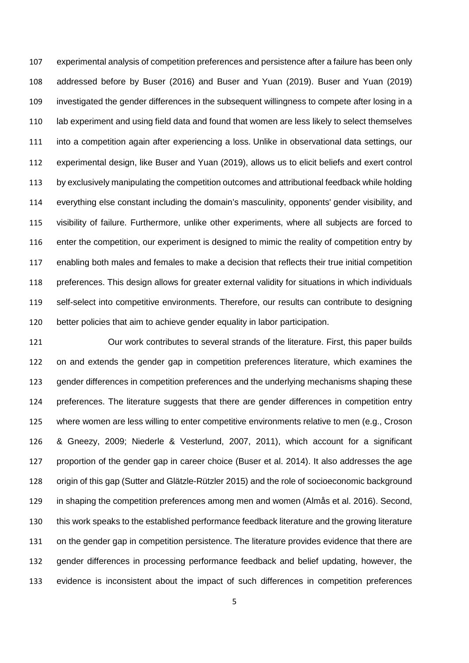experimental analysis of competition preferences and persistence after a failure has been only addressed before by Buser (2016) and Buser and Yuan (2019). Buser and Yuan (2019) investigated the gender differences in the subsequent willingness to compete after losing in a lab experiment and using field data and found that women are less likely to select themselves into a competition again after experiencing a loss. Unlike in observational data settings, our experimental design, like Buser and Yuan (2019), allows us to elicit beliefs and exert control by exclusively manipulating the competition outcomes and attributional feedback while holding everything else constant including the domain's masculinity, opponents' gender visibility, and visibility of failure. Furthermore, unlike other experiments, where all subjects are forced to enter the competition, our experiment is designed to mimic the reality of competition entry by enabling both males and females to make a decision that reflects their true initial competition preferences. This design allows for greater external validity for situations in which individuals self-select into competitive environments. Therefore, our results can contribute to designing better policies that aim to achieve gender equality in labor participation.

 Our work contributes to several strands of the literature. First, this paper builds on and extends the gender gap in competition preferences literature, which examines the gender differences in competition preferences and the underlying mechanisms shaping these preferences. The literature suggests that there are gender differences in competition entry where women are less willing to enter competitive environments relative to men (e.g., Croson & Gneezy, 2009; Niederle & Vesterlund, 2007, 2011), which account for a significant proportion of the gender gap in career choice (Buser et al. 2014). It also addresses the age origin of this gap (Sutter and Glätzle-Rützler 2015) and the role of socioeconomic background in shaping the competition preferences among men and women (Almås et al. 2016). Second, this work speaks to the established performance feedback literature and the growing literature on the gender gap in competition persistence. The literature provides evidence that there are gender differences in processing performance feedback and belief updating, however, the evidence is inconsistent about the impact of such differences in competition preferences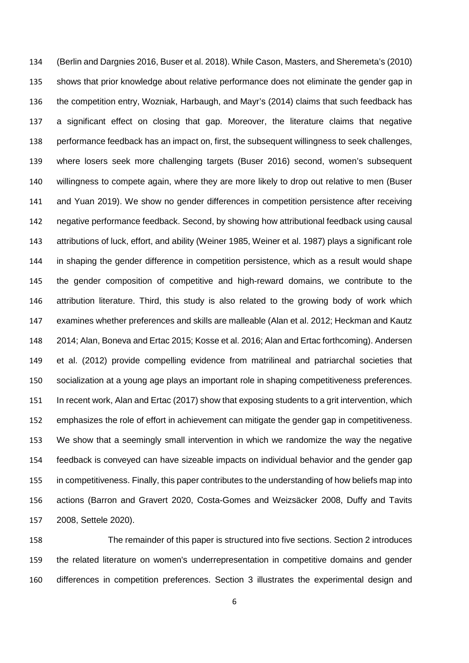(Berlin and Dargnies 2016, Buser et al. 2018). While Cason, Masters, and Sheremeta's (2010) shows that prior knowledge about relative performance does not eliminate the gender gap in the competition entry, Wozniak, Harbaugh, and Mayr's (2014) claims that such feedback has a significant effect on closing that gap. Moreover, the literature claims that negative performance feedback has an impact on, first, the subsequent willingness to seek challenges, where losers seek more challenging targets (Buser 2016) second, women's subsequent willingness to compete again, where they are more likely to drop out relative to men (Buser and Yuan 2019). We show no gender differences in competition persistence after receiving negative performance feedback. Second, by showing how attributional feedback using causal attributions of luck, effort, and ability (Weiner 1985, Weiner et al. 1987) plays a significant role in shaping the gender difference in competition persistence, which as a result would shape the gender composition of competitive and high-reward domains, we contribute to the attribution literature. Third, this study is also related to the growing body of work which examines whether preferences and skills are malleable (Alan et al. 2012; Heckman and Kautz 2014; Alan, Boneva and Ertac 2015; Kosse et al. 2016; Alan and Ertac forthcoming). Andersen et al. (2012) provide compelling evidence from matrilineal and patriarchal societies that socialization at a young age plays an important role in shaping competitiveness preferences. In recent work, Alan and Ertac (2017) show that exposing students to a grit intervention, which emphasizes the role of effort in achievement can mitigate the gender gap in competitiveness. We show that a seemingly small intervention in which we randomize the way the negative feedback is conveyed can have sizeable impacts on individual behavior and the gender gap in competitiveness. Finally, this paper contributes to the understanding of how beliefs map into actions (Barron and Gravert 2020, Costa-Gomes and Weizsäcker 2008, Duffy and Tavits 2008, Settele 2020).

 The remainder of this paper is structured into five sections. Section 2 introduces the related literature on women's underrepresentation in competitive domains and gender differences in competition preferences. Section 3 illustrates the experimental design and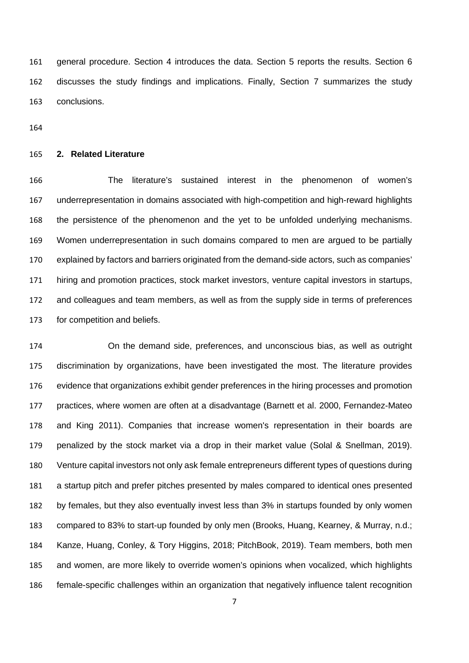general procedure. Section 4 introduces the data. Section 5 reports the results. Section 6 discusses the study findings and implications. Finally, Section 7 summarizes the study conclusions.

## **2. Related Literature**

 The literature's sustained interest in the phenomenon of women's underrepresentation in domains associated with high-competition and high-reward highlights the persistence of the phenomenon and the yet to be unfolded underlying mechanisms. Women underrepresentation in such domains compared to men are argued to be partially explained by factors and barriers originated from the demand-side actors, such as companies' hiring and promotion practices, stock market investors, venture capital investors in startups, and colleagues and team members, as well as from the supply side in terms of preferences for competition and beliefs.

 On the demand side, preferences, and unconscious bias, as well as outright discrimination by organizations, have been investigated the most. The literature provides evidence that organizations exhibit gender preferences in the hiring processes and promotion practices, where women are often at a disadvantage (Barnett et al. 2000, Fernandez-Mateo and King 2011). Companies that increase women's representation in their boards are penalized by the stock market via a drop in their market value (Solal & Snellman, 2019). Venture capital investors not only ask female entrepreneurs different types of questions during a startup pitch and prefer pitches presented by males compared to identical ones presented by females, but they also eventually invest less than 3% in startups founded by only women compared to 83% to start-up founded by only men (Brooks, Huang, Kearney, & Murray, n.d.; Kanze, Huang, Conley, & Tory Higgins, 2018; PitchBook, 2019). Team members, both men and women, are more likely to override women's opinions when vocalized, which highlights female-specific challenges within an organization that negatively influence talent recognition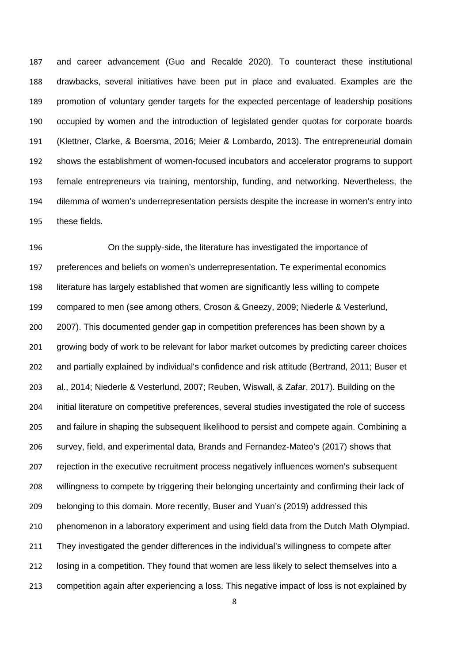and career advancement (Guo and Recalde 2020). To counteract these institutional drawbacks, several initiatives have been put in place and evaluated. Examples are the promotion of voluntary gender targets for the expected percentage of leadership positions occupied by women and the introduction of legislated gender quotas for corporate boards (Klettner, Clarke, & Boersma, 2016; Meier & Lombardo, 2013). The entrepreneurial domain shows the establishment of women-focused incubators and accelerator programs to support female entrepreneurs via training, mentorship, funding, and networking. Nevertheless, the dilemma of women's underrepresentation persists despite the increase in women's entry into these fields.

 On the supply-side, the literature has investigated the importance of preferences and beliefs on women's underrepresentation. Te experimental economics literature has largely established that women are significantly less willing to compete compared to men (see among others, Croson & Gneezy, 2009; Niederle & Vesterlund, 2007). This documented gender gap in competition preferences has been shown by a growing body of work to be relevant for labor market outcomes by predicting career choices and partially explained by individual's confidence and risk attitude (Bertrand, 2011; Buser et al., 2014; Niederle & Vesterlund, 2007; Reuben, Wiswall, & Zafar, 2017). Building on the initial literature on competitive preferences, several studies investigated the role of success and failure in shaping the subsequent likelihood to persist and compete again. Combining a survey, field, and experimental data, Brands and Fernandez-Mateo's (2017) shows that rejection in the executive recruitment process negatively influences women's subsequent willingness to compete by triggering their belonging uncertainty and confirming their lack of belonging to this domain. More recently, Buser and Yuan's (2019) addressed this phenomenon in a laboratory experiment and using field data from the Dutch Math Olympiad. 211 They investigated the gender differences in the individual's willingness to compete after losing in a competition. They found that women are less likely to select themselves into a competition again after experiencing a loss. This negative impact of loss is not explained by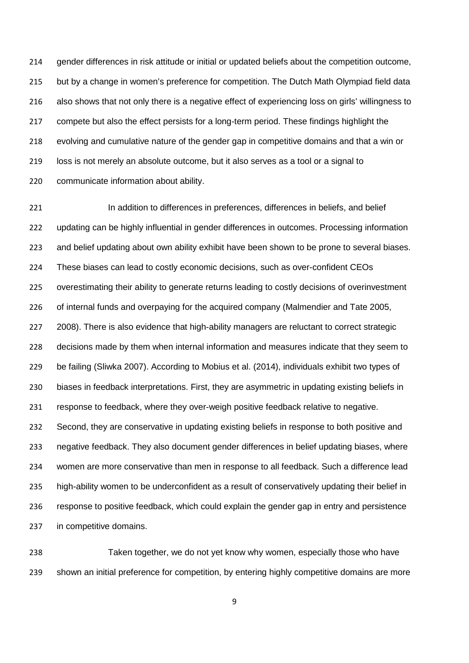gender differences in risk attitude or initial or updated beliefs about the competition outcome, 215 but by a change in women's preference for competition. The Dutch Math Olympiad field data also shows that not only there is a negative effect of experiencing loss on girls' willingness to compete but also the effect persists for a long-term period. These findings highlight the evolving and cumulative nature of the gender gap in competitive domains and that a win or loss is not merely an absolute outcome, but it also serves as a tool or a signal to communicate information about ability.

221 In addition to differences in preferences, differences in beliefs, and belief updating can be highly influential in gender differences in outcomes. Processing information and belief updating about own ability exhibit have been shown to be prone to several biases. These biases can lead to costly economic decisions, such as over-confident CEOs overestimating their ability to generate returns leading to costly decisions of overinvestment of internal funds and overpaying for the acquired company (Malmendier and Tate 2005, 2008). There is also evidence that high-ability managers are reluctant to correct strategic decisions made by them when internal information and measures indicate that they seem to be failing (Sliwka 2007). According to Mobius et al. (2014), individuals exhibit two types of biases in feedback interpretations. First, they are asymmetric in updating existing beliefs in response to feedback, where they over-weigh positive feedback relative to negative. Second, they are conservative in updating existing beliefs in response to both positive and negative feedback. They also document gender differences in belief updating biases, where women are more conservative than men in response to all feedback. Such a difference lead high-ability women to be underconfident as a result of conservatively updating their belief in response to positive feedback, which could explain the gender gap in entry and persistence in competitive domains.

 Taken together, we do not yet know why women, especially those who have shown an initial preference for competition, by entering highly competitive domains are more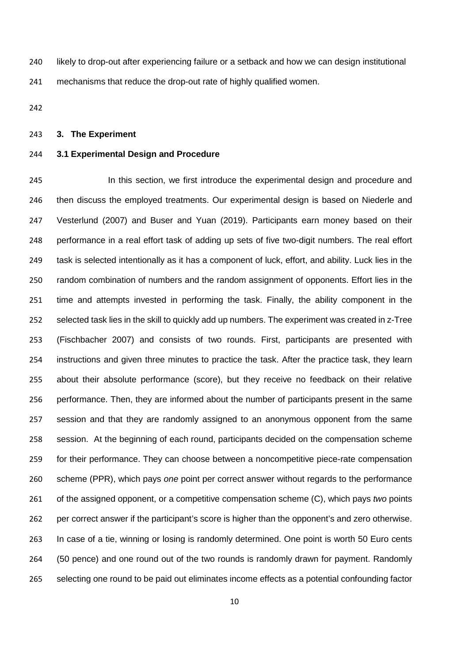likely to drop-out after experiencing failure or a setback and how we can design institutional mechanisms that reduce the drop-out rate of highly qualified women.

### **3. The Experiment**

### **3.1 Experimental Design and Procedure**

 In this section, we first introduce the experimental design and procedure and 246 then discuss the employed treatments. Our experimental design is based on Niederle and Vesterlund (2007) and Buser and Yuan (2019). Participants earn money based on their performance in a real effort task of adding up sets of five two-digit numbers. The real effort task is selected intentionally as it has a component of luck, effort, and ability. Luck lies in the random combination of numbers and the random assignment of opponents. Effort lies in the time and attempts invested in performing the task. Finally, the ability component in the selected task lies in the skill to quickly add up numbers. The experiment was created in z-Tree (Fischbacher 2007) and consists of two rounds. First, participants are presented with instructions and given three minutes to practice the task. After the practice task, they learn about their absolute performance (score), but they receive no feedback on their relative performance. Then, they are informed about the number of participants present in the same session and that they are randomly assigned to an anonymous opponent from the same session. At the beginning of each round, participants decided on the compensation scheme for their performance. They can choose between a noncompetitive piece-rate compensation scheme (PPR), which pays *one* point per correct answer without regards to the performance of the assigned opponent, or a competitive compensation scheme (C), which pays *two* points per correct answer if the participant's score is higher than the opponent's and zero otherwise. In case of a tie, winning or losing is randomly determined. One point is worth 50 Euro cents (50 pence) and one round out of the two rounds is randomly drawn for payment. Randomly selecting one round to be paid out eliminates income effects as a potential confounding factor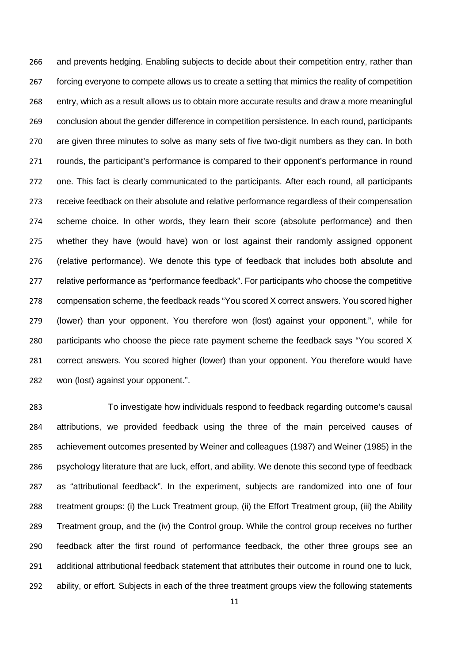and prevents hedging. Enabling subjects to decide about their competition entry, rather than 267 forcing everyone to compete allows us to create a setting that mimics the reality of competition entry, which as a result allows us to obtain more accurate results and draw a more meaningful conclusion about the gender difference in competition persistence. In each round, participants are given three minutes to solve as many sets of five two-digit numbers as they can. In both rounds, the participant's performance is compared to their opponent's performance in round one. This fact is clearly communicated to the participants. After each round, all participants receive feedback on their absolute and relative performance regardless of their compensation scheme choice. In other words, they learn their score (absolute performance) and then whether they have (would have) won or lost against their randomly assigned opponent (relative performance). We denote this type of feedback that includes both absolute and relative performance as "performance feedback". For participants who choose the competitive compensation scheme, the feedback reads "You scored X correct answers. You scored higher (lower) than your opponent. You therefore won (lost) against your opponent.", while for participants who choose the piece rate payment scheme the feedback says "You scored X correct answers. You scored higher (lower) than your opponent. You therefore would have won (lost) against your opponent.".

 To investigate how individuals respond to feedback regarding outcome's causal attributions, we provided feedback using the three of the main perceived causes of achievement outcomes presented by Weiner and colleagues (1987) and Weiner (1985) in the psychology literature that are luck, effort, and ability. We denote this second type of feedback as "attributional feedback". In the experiment, subjects are randomized into one of four treatment groups: (i) the Luck Treatment group, (ii) the Effort Treatment group, (iii) the Ability Treatment group, and the (iv) the Control group. While the control group receives no further feedback after the first round of performance feedback, the other three groups see an additional attributional feedback statement that attributes their outcome in round one to luck, ability, or effort. Subjects in each of the three treatment groups view the following statements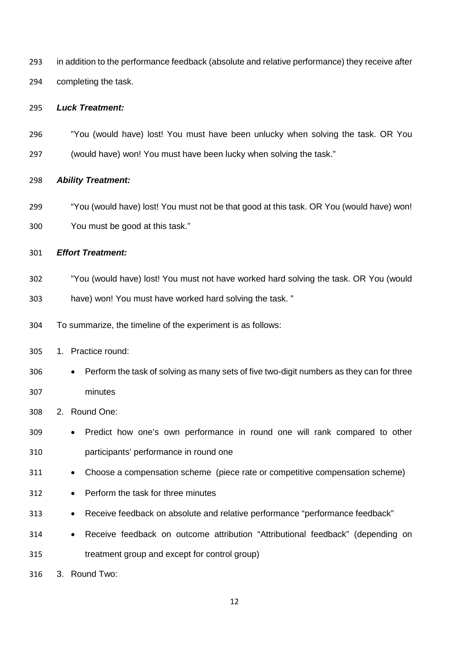| 293 | in addition to the performance feedback (absolute and relative performance) they receive after |
|-----|------------------------------------------------------------------------------------------------|
| 294 | completing the task.                                                                           |

### *Luck Treatment:*

- "You (would have) lost! You must have been unlucky when solving the task. OR You
- (would have) won! You must have been lucky when solving the task."

### *Ability Treatment:*

 "You (would have) lost! You must not be that good at this task. OR You (would have) won! You must be good at this task."

```
301 Effort Treatment:
```
- "You (would have) lost! You must not have worked hard solving the task. OR You (would
- have) won! You must have worked hard solving the task. "
- To summarize, the timeline of the experiment is as follows:
- 1. Practice round:
- Perform the task of solving as many sets of five two-digit numbers as they can for three minutes
- 2. Round One:
- Predict how one's own performance in round one will rank compared to other participants' performance in round one
- Choose a compensation scheme (piece rate or competitive compensation scheme)
- Perform the task for three minutes
- Receive feedback on absolute and relative performance "performance feedback"
- Receive feedback on outcome attribution "Attributional feedback" (depending on treatment group and except for control group)

3. Round Two: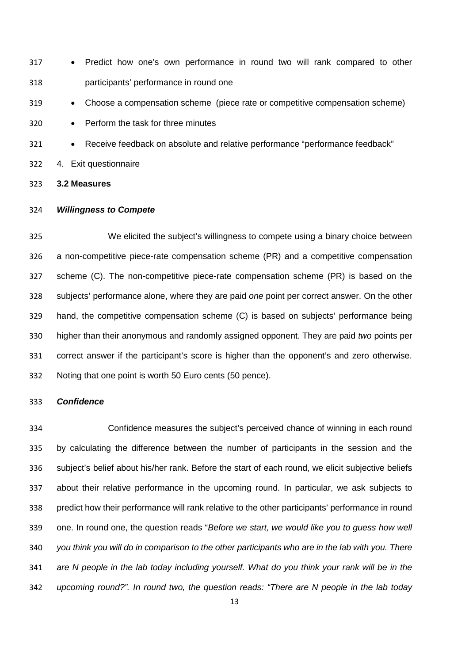• Predict how one's own performance in round two will rank compared to other participants' performance in round one

• Choose a compensation scheme (piece rate or competitive compensation scheme)

• Perform the task for three minutes

- Receive feedback on absolute and relative performance "performance feedback"
- 4. Exit questionnaire
- **3.2 Measures**

### *Willingness to Compete*

 We elicited the subject's willingness to compete using a binary choice between a non-competitive piece-rate compensation scheme (PR) and a competitive compensation scheme (C). The non-competitive piece-rate compensation scheme (PR) is based on the subjects' performance alone, where they are paid *one* point per correct answer. On the other hand, the competitive compensation scheme (C) is based on subjects' performance being higher than their anonymous and randomly assigned opponent. They are paid *two* points per correct answer if the participant's score is higher than the opponent's and zero otherwise. Noting that one point is worth 50 Euro cents (50 pence).

### *Confidence*

 Confidence measures the subject's perceived chance of winning in each round by calculating the difference between the number of participants in the session and the subject's belief about his/her rank. Before the start of each round, we elicit subjective beliefs about their relative performance in the upcoming round. In particular, we ask subjects to predict how their performance will rank relative to the other participants' performance in round one. In round one, the question reads "*Before we start, we would like you to guess how well you think you will do in comparison to the other participants who are in the lab with you. There are N people in the lab today including yourself. What do you think your rank will be in the upcoming round?". In round two, the question reads: "There are N people in the lab today*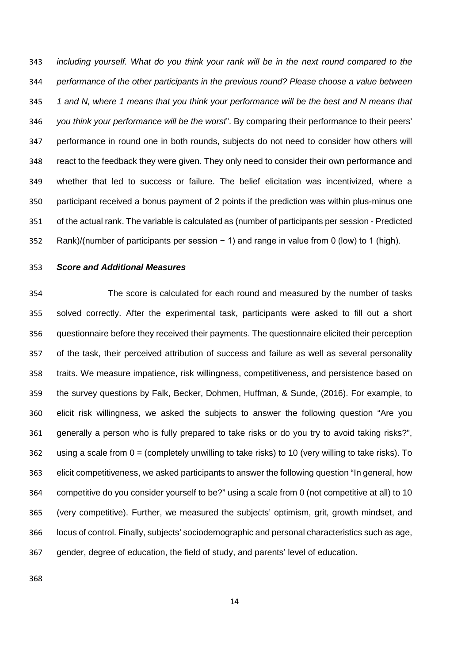*including yourself. What do you think your rank will be in the next round compared to the performance of the other participants in the previous round? Please choose a value between 1 and N, where 1 means that you think your performance will be the best and N means that you think your performance will be the worst*". By comparing their performance to their peers' performance in round one in both rounds, subjects do not need to consider how others will react to the feedback they were given. They only need to consider their own performance and whether that led to success or failure. The belief elicitation was incentivized, where a participant received a bonus payment of 2 points if the prediction was within plus-minus one of the actual rank. The variable is calculated as (number of participants per session - Predicted Rank)/(number of participants per session − 1) and range in value from 0 (low) to 1 (high).

*Score and Additional Measures*

 The score is calculated for each round and measured by the number of tasks solved correctly. After the experimental task, participants were asked to fill out a short questionnaire before they received their payments. The questionnaire elicited their perception of the task, their perceived attribution of success and failure as well as several personality traits. We measure impatience, risk willingness, competitiveness, and persistence based on the survey questions by Falk, Becker, Dohmen, Huffman, & Sunde, (2016). For example, to elicit risk willingness, we asked the subjects to answer the following question "Are you generally a person who is fully prepared to take risks or do you try to avoid taking risks?", using a scale from 0 = (completely unwilling to take risks) to 10 (very willing to take risks). To elicit competitiveness, we asked participants to answer the following question "In general, how competitive do you consider yourself to be?" using a scale from 0 (not competitive at all) to 10 (very competitive). Further, we measured the subjects' optimism, grit, growth mindset, and locus of control. Finally, subjects' sociodemographic and personal characteristics such as age, gender, degree of education, the field of study, and parents' level of education.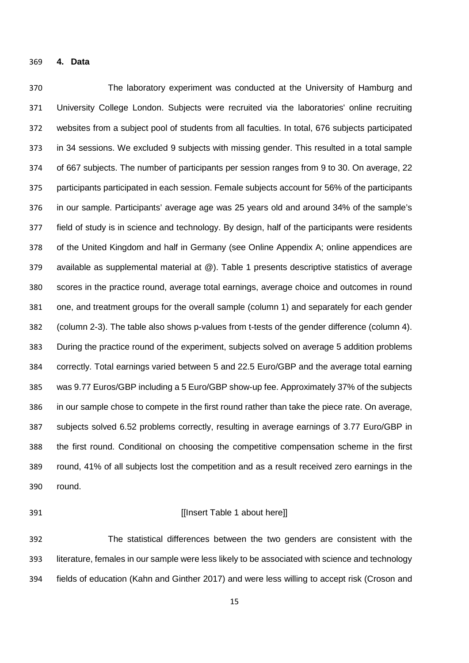**4. Data**

 The laboratory experiment was conducted at the University of Hamburg and University College London. Subjects were recruited via the laboratories' online recruiting websites from a subject pool of students from all faculties. In total, 676 subjects participated in 34 sessions. We excluded 9 subjects with missing gender. This resulted in a total sample of 667 subjects. The number of participants per session ranges from 9 to 30. On average, 22 participants participated in each session. Female subjects account for 56% of the participants in our sample. Participants' average age was 25 years old and around 34% of the sample's field of study is in science and technology. By design, half of the participants were residents of the United Kingdom and half in Germany (see Online Appendix A; online appendices are available as supplemental material at @). Table 1 presents descriptive statistics of average scores in the practice round, average total earnings, average choice and outcomes in round one, and treatment groups for the overall sample (column 1) and separately for each gender (column 2-3). The table also shows p-values from t-tests of the gender difference (column 4). During the practice round of the experiment, subjects solved on average 5 addition problems correctly. Total earnings varied between 5 and 22.5 Euro/GBP and the average total earning was 9.77 Euros/GBP including a 5 Euro/GBP show-up fee. Approximately 37% of the subjects in our sample chose to compete in the first round rather than take the piece rate. On average, subjects solved 6.52 problems correctly, resulting in average earnings of 3.77 Euro/GBP in the first round. Conditional on choosing the competitive compensation scheme in the first round, 41% of all subjects lost the competition and as a result received zero earnings in the round.

### **If Insert Table 1 about here**

 The statistical differences between the two genders are consistent with the literature, females in our sample were less likely to be associated with science and technology fields of education (Kahn and Ginther 2017) and were less willing to accept risk (Croson and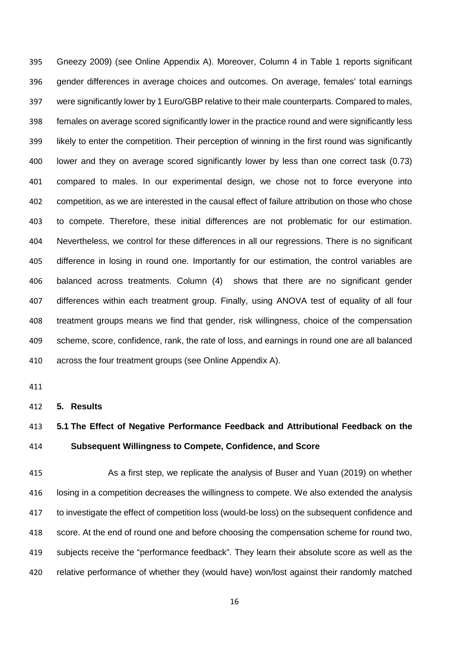Gneezy 2009) (see Online Appendix A). Moreover, Column 4 in Table 1 reports significant gender differences in average choices and outcomes. On average, females' total earnings were significantly lower by 1 Euro/GBP relative to their male counterparts. Compared to males, females on average scored significantly lower in the practice round and were significantly less likely to enter the competition. Their perception of winning in the first round was significantly lower and they on average scored significantly lower by less than one correct task (0.73) compared to males. In our experimental design, we chose not to force everyone into competition, as we are interested in the causal effect of failure attribution on those who chose to compete. Therefore, these initial differences are not problematic for our estimation. Nevertheless, we control for these differences in all our regressions. There is no significant difference in losing in round one. Importantly for our estimation, the control variables are balanced across treatments. Column (4) shows that there are no significant gender differences within each treatment group. Finally, using ANOVA test of equality of all four treatment groups means we find that gender, risk willingness, choice of the compensation scheme, score, confidence, rank, the rate of loss, and earnings in round one are all balanced across the four treatment groups (see Online Appendix A).

#### **5. Results**

# **5.1 The Effect of Negative Performance Feedback and Attributional Feedback on the Subsequent Willingness to Compete, Confidence, and Score**

 As a first step, we replicate the analysis of Buser and Yuan (2019) on whether losing in a competition decreases the willingness to compete. We also extended the analysis to investigate the effect of competition loss (would-be loss) on the subsequent confidence and score. At the end of round one and before choosing the compensation scheme for round two, subjects receive the "performance feedback". They learn their absolute score as well as the 420 relative performance of whether they (would have) won/lost against their randomly matched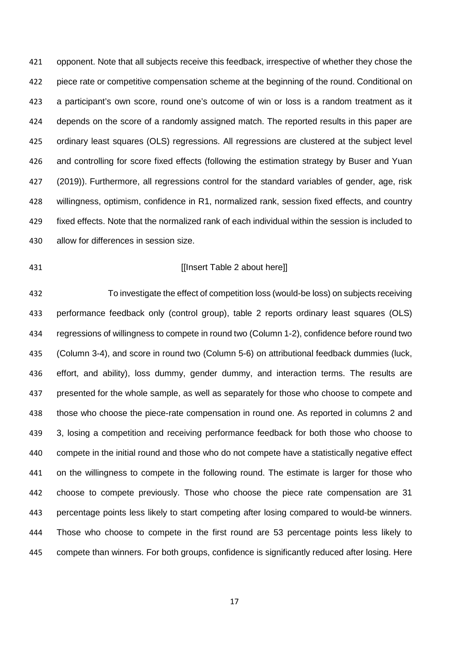opponent. Note that all subjects receive this feedback, irrespective of whether they chose the piece rate or competitive compensation scheme at the beginning of the round. Conditional on a participant's own score, round one's outcome of win or loss is a random treatment as it depends on the score of a randomly assigned match. The reported results in this paper are ordinary least squares (OLS) regressions. All regressions are clustered at the subject level and controlling for score fixed effects (following the estimation strategy by Buser and Yuan (2019)). Furthermore, all regressions control for the standard variables of gender, age, risk willingness, optimism, confidence in R1, normalized rank, session fixed effects, and country fixed effects. Note that the normalized rank of each individual within the session is included to allow for differences in session size.

## **If Insert Table 2 about here**

 To investigate the effect of competition loss (would-be loss) on subjects receiving performance feedback only (control group), table 2 reports ordinary least squares (OLS) regressions of willingness to compete in round two (Column 1-2), confidence before round two (Column 3-4), and score in round two (Column 5-6) on attributional feedback dummies (luck, effort, and ability), loss dummy, gender dummy, and interaction terms. The results are presented for the whole sample, as well as separately for those who choose to compete and those who choose the piece-rate compensation in round one. As reported in columns 2 and 3, losing a competition and receiving performance feedback for both those who choose to compete in the initial round and those who do not compete have a statistically negative effect on the willingness to compete in the following round. The estimate is larger for those who choose to compete previously. Those who choose the piece rate compensation are 31 percentage points less likely to start competing after losing compared to would-be winners. Those who choose to compete in the first round are 53 percentage points less likely to compete than winners. For both groups, confidence is significantly reduced after losing. Here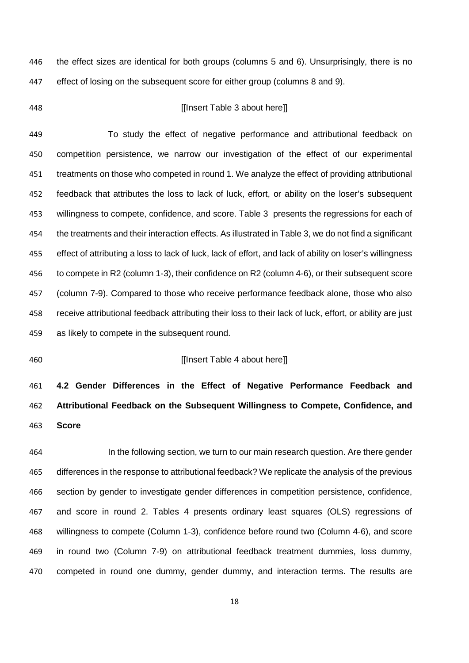the effect sizes are identical for both groups (columns 5 and 6). Unsurprisingly, there is no effect of losing on the subsequent score for either group (columns 8 and 9).

### [[Insert Table 3 about here]]

 To study the effect of negative performance and attributional feedback on competition persistence, we narrow our investigation of the effect of our experimental treatments on those who competed in round 1. We analyze the effect of providing attributional feedback that attributes the loss to lack of luck, effort, or ability on the loser's subsequent willingness to compete, confidence, and score. Table 3 presents the regressions for each of the treatments and their interaction effects. As illustrated in Table 3, we do not find a significant effect of attributing a loss to lack of luck, lack of effort, and lack of ability on loser's willingness to compete in R2 (column 1-3), their confidence on R2 (column 4-6), or their subsequent score (column 7-9). Compared to those who receive performance feedback alone, those who also receive attributional feedback attributing their loss to their lack of luck, effort, or ability are just as likely to compete in the subsequent round.

### **If Insert Table 4 about here** I

 **4.2 Gender Differences in the Effect of Negative Performance Feedback and Attributional Feedback on the Subsequent Willingness to Compete, Confidence, and Score**

 In the following section, we turn to our main research question. Are there gender differences in the response to attributional feedback? We replicate the analysis of the previous section by gender to investigate gender differences in competition persistence, confidence, and score in round 2. Tables 4 presents ordinary least squares (OLS) regressions of willingness to compete (Column 1-3), confidence before round two (Column 4-6), and score in round two (Column 7-9) on attributional feedback treatment dummies, loss dummy, competed in round one dummy, gender dummy, and interaction terms. The results are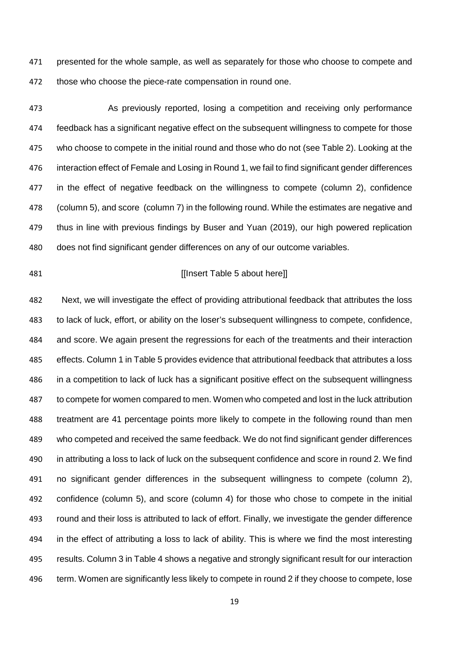presented for the whole sample, as well as separately for those who choose to compete and 472 those who choose the piece-rate compensation in round one.

 As previously reported, losing a competition and receiving only performance feedback has a significant negative effect on the subsequent willingness to compete for those who choose to compete in the initial round and those who do not (see Table 2). Looking at the interaction effect of Female and Losing in Round 1, we fail to find significant gender differences in the effect of negative feedback on the willingness to compete (column 2), confidence (column 5), and score (column 7) in the following round. While the estimates are negative and thus in line with previous findings by Buser and Yuan (2019), our high powered replication does not find significant gender differences on any of our outcome variables.

## **If the set of the COV insert Table 5 about here** let

 Next, we will investigate the effect of providing attributional feedback that attributes the loss to lack of luck, effort, or ability on the loser's subsequent willingness to compete, confidence, and score. We again present the regressions for each of the treatments and their interaction effects. Column 1 in Table 5 provides evidence that attributional feedback that attributes a loss in a competition to lack of luck has a significant positive effect on the subsequent willingness to compete for women compared to men. Women who competed and lost in the luck attribution treatment are 41 percentage points more likely to compete in the following round than men who competed and received the same feedback. We do not find significant gender differences in attributing a loss to lack of luck on the subsequent confidence and score in round 2. We find no significant gender differences in the subsequent willingness to compete (column 2), confidence (column 5), and score (column 4) for those who chose to compete in the initial round and their loss is attributed to lack of effort. Finally, we investigate the gender difference in the effect of attributing a loss to lack of ability. This is where we find the most interesting results. Column 3 in Table 4 shows a negative and strongly significant result for our interaction term. Women are significantly less likely to compete in round 2 if they choose to compete, lose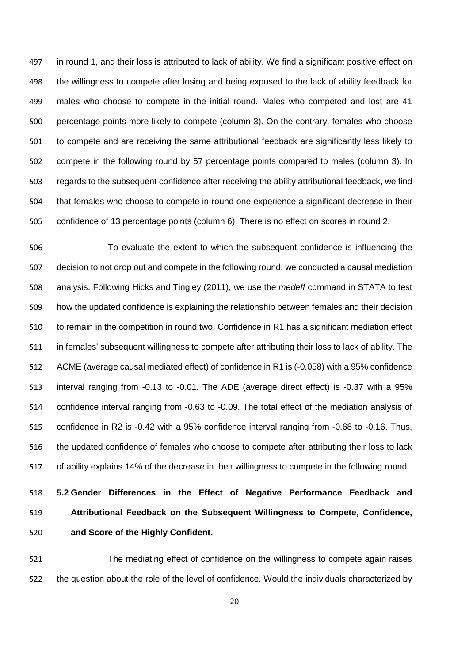in round 1, and their loss is attributed to lack of ability. We find a significant positive effect on the willingness to compete after losing and being exposed to the lack of ability feedback for males who choose to compete in the initial round. Males who competed and lost are 41 percentage points more likely to compete (column 3). On the contrary, females who choose to compete and are receiving the same attributional feedback are significantly less likely to compete in the following round by 57 percentage points compared to males (column 3). In regards to the subsequent confidence after receiving the ability attributional feedback, we find that females who choose to compete in round one experience a significant decrease in their confidence of 13 percentage points (column 6). There is no effect on scores in round 2.

 To evaluate the extent to which the subsequent confidence is influencing the decision to not drop out and compete in the following round, we conducted a causal mediation analysis. Following Hicks and Tingley (2011), we use the *medeff* command in STATA to test how the updated confidence is explaining the relationship between females and their decision to remain in the competition in round two. Confidence in R1 has a significant mediation effect in females' subsequent willingness to compete after attributing their loss to lack of ability. The ACME (average causal mediated effect) of confidence in R1 is (-0.058) with a 95% confidence interval ranging from -0.13 to -0.01. The ADE (average direct effect) is -0.37 with a 95% confidence interval ranging from -0.63 to -0.09. The total effect of the mediation analysis of confidence in R2 is -0.42 with a 95% confidence interval ranging from -0.68 to -0.16. Thus, the updated confidence of females who choose to compete after attributing their loss to lack of ability explains 14% of the decrease in their willingness to compete in the following round.

 **5.2 Gender Differences in the Effect of Negative Performance Feedback and Attributional Feedback on the Subsequent Willingness to Compete, Confidence, and Score of the Highly Confident.**

 The mediating effect of confidence on the willingness to compete again raises the question about the role of the level of confidence. Would the individuals characterized by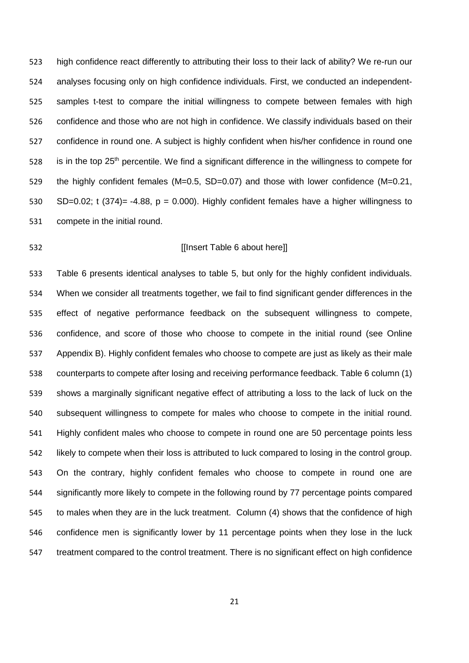high confidence react differently to attributing their loss to their lack of ability? We re-run our analyses focusing only on high confidence individuals. First, we conducted an independent- samples t-test to compare the initial willingness to compete between females with high confidence and those who are not high in confidence. We classify individuals based on their confidence in round one. A subject is highly confident when his/her confidence in round one 528 is in the top 25<sup>th</sup> percentile. We find a significant difference in the willingness to compete for the highly confident females (M=0.5, SD=0.07) and those with lower confidence (M=0.21, SD=0.02; t (374)= -4.88, p = 0.000). Highly confident females have a higher willingness to compete in the initial round.

### [[Insert Table 6 about here]]

 Table 6 presents identical analyses to table 5, but only for the highly confident individuals. When we consider all treatments together, we fail to find significant gender differences in the effect of negative performance feedback on the subsequent willingness to compete, confidence, and score of those who choose to compete in the initial round (see Online Appendix B). Highly confident females who choose to compete are just as likely as their male counterparts to compete after losing and receiving performance feedback. Table 6 column (1) shows a marginally significant negative effect of attributing a loss to the lack of luck on the subsequent willingness to compete for males who choose to compete in the initial round. Highly confident males who choose to compete in round one are 50 percentage points less likely to compete when their loss is attributed to luck compared to losing in the control group. On the contrary, highly confident females who choose to compete in round one are significantly more likely to compete in the following round by 77 percentage points compared to males when they are in the luck treatment. Column (4) shows that the confidence of high confidence men is significantly lower by 11 percentage points when they lose in the luck treatment compared to the control treatment. There is no significant effect on high confidence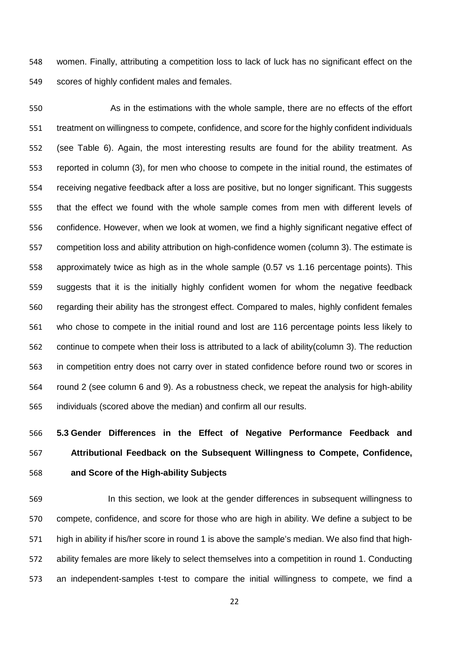women. Finally, attributing a competition loss to lack of luck has no significant effect on the scores of highly confident males and females.

 As in the estimations with the whole sample, there are no effects of the effort treatment on willingness to compete, confidence, and score for the highly confident individuals (see Table 6). Again, the most interesting results are found for the ability treatment. As reported in column (3), for men who choose to compete in the initial round, the estimates of receiving negative feedback after a loss are positive, but no longer significant. This suggests that the effect we found with the whole sample comes from men with different levels of confidence. However, when we look at women, we find a highly significant negative effect of competition loss and ability attribution on high-confidence women (column 3). The estimate is approximately twice as high as in the whole sample (0.57 vs 1.16 percentage points). This suggests that it is the initially highly confident women for whom the negative feedback regarding their ability has the strongest effect. Compared to males, highly confident females who chose to compete in the initial round and lost are 116 percentage points less likely to continue to compete when their loss is attributed to a lack of ability(column 3). The reduction in competition entry does not carry over in stated confidence before round two or scores in round 2 (see column 6 and 9). As a robustness check, we repeat the analysis for high-ability individuals (scored above the median) and confirm all our results.

# **5.3 Gender Differences in the Effect of Negative Performance Feedback and Attributional Feedback on the Subsequent Willingness to Compete, Confidence, and Score of the High-ability Subjects**

 In this section, we look at the gender differences in subsequent willingness to compete, confidence, and score for those who are high in ability. We define a subject to be high in ability if his/her score in round 1 is above the sample's median. We also find that high- ability females are more likely to select themselves into a competition in round 1. Conducting an independent-samples t-test to compare the initial willingness to compete, we find a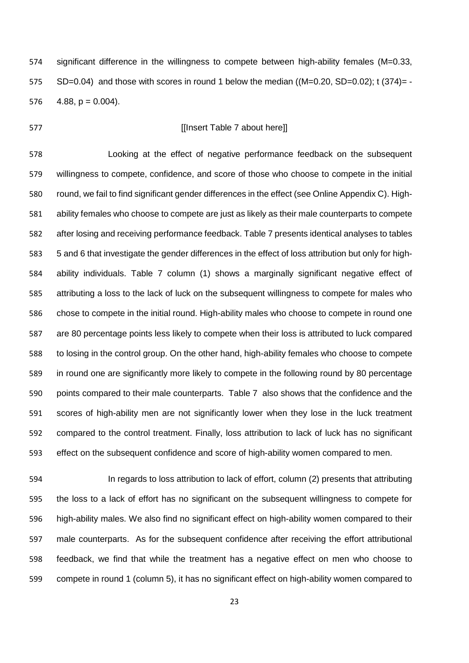significant difference in the willingness to compete between high-ability females (M=0.33, SD=0.04) and those with scores in round 1 below the median ((M=0.20, SD=0.02); t (374)= - 576  $4.88$ , p = 0.004).

## **If Insert Table 7 about here**

 Looking at the effect of negative performance feedback on the subsequent willingness to compete, confidence, and score of those who choose to compete in the initial round, we fail to find significant gender differences in the effect (see Online Appendix C). High- ability females who choose to compete are just as likely as their male counterparts to compete after losing and receiving performance feedback. Table 7 presents identical analyses to tables 5 and 6 that investigate the gender differences in the effect of loss attribution but only for high- ability individuals. Table 7 column (1) shows a marginally significant negative effect of attributing a loss to the lack of luck on the subsequent willingness to compete for males who chose to compete in the initial round. High-ability males who choose to compete in round one are 80 percentage points less likely to compete when their loss is attributed to luck compared to losing in the control group. On the other hand, high-ability females who choose to compete in round one are significantly more likely to compete in the following round by 80 percentage points compared to their male counterparts. Table 7 also shows that the confidence and the scores of high-ability men are not significantly lower when they lose in the luck treatment compared to the control treatment. Finally, loss attribution to lack of luck has no significant effect on the subsequent confidence and score of high-ability women compared to men.

 In regards to loss attribution to lack of effort, column (2) presents that attributing the loss to a lack of effort has no significant on the subsequent willingness to compete for high-ability males. We also find no significant effect on high-ability women compared to their male counterparts. As for the subsequent confidence after receiving the effort attributional feedback, we find that while the treatment has a negative effect on men who choose to compete in round 1 (column 5), it has no significant effect on high-ability women compared to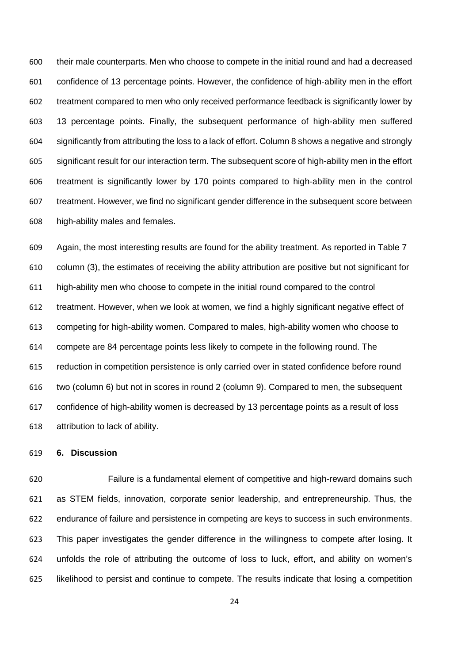their male counterparts. Men who choose to compete in the initial round and had a decreased confidence of 13 percentage points. However, the confidence of high-ability men in the effort treatment compared to men who only received performance feedback is significantly lower by 13 percentage points. Finally, the subsequent performance of high-ability men suffered significantly from attributing the loss to a lack of effort. Column 8 shows a negative and strongly significant result for our interaction term. The subsequent score of high-ability men in the effort treatment is significantly lower by 170 points compared to high-ability men in the control treatment. However, we find no significant gender difference in the subsequent score between high-ability males and females.

 Again, the most interesting results are found for the ability treatment. As reported in Table 7 column (3), the estimates of receiving the ability attribution are positive but not significant for high-ability men who choose to compete in the initial round compared to the control treatment. However, when we look at women, we find a highly significant negative effect of competing for high-ability women. Compared to males, high-ability women who choose to compete are 84 percentage points less likely to compete in the following round. The reduction in competition persistence is only carried over in stated confidence before round two (column 6) but not in scores in round 2 (column 9). Compared to men, the subsequent confidence of high-ability women is decreased by 13 percentage points as a result of loss attribution to lack of ability.

### **6. Discussion**

 Failure is a fundamental element of competitive and high-reward domains such as STEM fields, innovation, corporate senior leadership, and entrepreneurship. Thus, the endurance of failure and persistence in competing are keys to success in such environments. This paper investigates the gender difference in the willingness to compete after losing. It unfolds the role of attributing the outcome of loss to luck, effort, and ability on women's likelihood to persist and continue to compete. The results indicate that losing a competition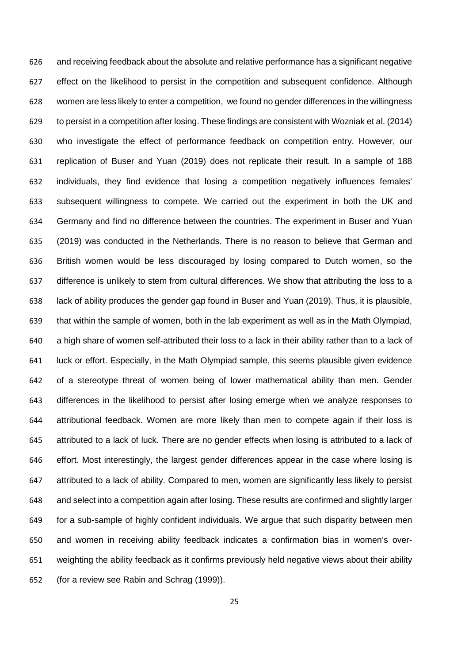and receiving feedback about the absolute and relative performance has a significant negative effect on the likelihood to persist in the competition and subsequent confidence. Although women are less likely to enter a competition, we found no gender differences in the willingness to persist in a competition after losing. These findings are consistent with Wozniak et al. (2014) who investigate the effect of performance feedback on competition entry. However, our replication of Buser and Yuan (2019) does not replicate their result. In a sample of 188 individuals, they find evidence that losing a competition negatively influences females' subsequent willingness to compete. We carried out the experiment in both the UK and Germany and find no difference between the countries. The experiment in Buser and Yuan (2019) was conducted in the Netherlands. There is no reason to believe that German and British women would be less discouraged by losing compared to Dutch women, so the difference is unlikely to stem from cultural differences. We show that attributing the loss to a lack of ability produces the gender gap found in Buser and Yuan (2019). Thus, it is plausible, that within the sample of women, both in the lab experiment as well as in the Math Olympiad, a high share of women self-attributed their loss to a lack in their ability rather than to a lack of luck or effort. Especially, in the Math Olympiad sample, this seems plausible given evidence of a stereotype threat of women being of lower mathematical ability than men. Gender differences in the likelihood to persist after losing emerge when we analyze responses to attributional feedback. Women are more likely than men to compete again if their loss is attributed to a lack of luck. There are no gender effects when losing is attributed to a lack of effort. Most interestingly, the largest gender differences appear in the case where losing is attributed to a lack of ability. Compared to men, women are significantly less likely to persist and select into a competition again after losing. These results are confirmed and slightly larger for a sub-sample of highly confident individuals. We argue that such disparity between men and women in receiving ability feedback indicates a confirmation bias in women's over- weighting the ability feedback as it confirms previously held negative views about their ability (for a review see Rabin and Schrag (1999)).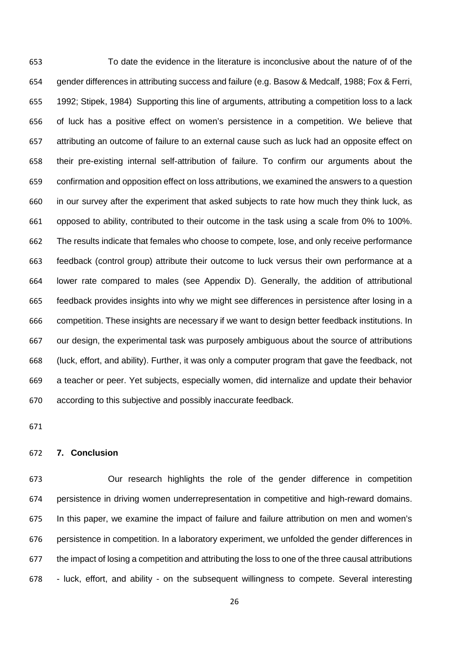To date the evidence in the literature is inconclusive about the nature of of the gender differences in attributing success and failure (e.g. Basow & Medcalf, 1988; Fox & Ferri, 1992; Stipek, 1984) Supporting this line of arguments, attributing a competition loss to a lack of luck has a positive effect on women's persistence in a competition. We believe that attributing an outcome of failure to an external cause such as luck had an opposite effect on their pre-existing internal self-attribution of failure. To confirm our arguments about the confirmation and opposition effect on loss attributions, we examined the answers to a question in our survey after the experiment that asked subjects to rate how much they think luck, as opposed to ability, contributed to their outcome in the task using a scale from 0% to 100%. The results indicate that females who choose to compete, lose, and only receive performance feedback (control group) attribute their outcome to luck versus their own performance at a lower rate compared to males (see Appendix D). Generally, the addition of attributional feedback provides insights into why we might see differences in persistence after losing in a competition. These insights are necessary if we want to design better feedback institutions. In our design, the experimental task was purposely ambiguous about the source of attributions (luck, effort, and ability). Further, it was only a computer program that gave the feedback, not a teacher or peer. Yet subjects, especially women, did internalize and update their behavior according to this subjective and possibly inaccurate feedback.

### **7. Conclusion**

 Our research highlights the role of the gender difference in competition persistence in driving women underrepresentation in competitive and high-reward domains. In this paper, we examine the impact of failure and failure attribution on men and women's persistence in competition. In a laboratory experiment, we unfolded the gender differences in the impact of losing a competition and attributing the loss to one of the three causal attributions - luck, effort, and ability - on the subsequent willingness to compete. Several interesting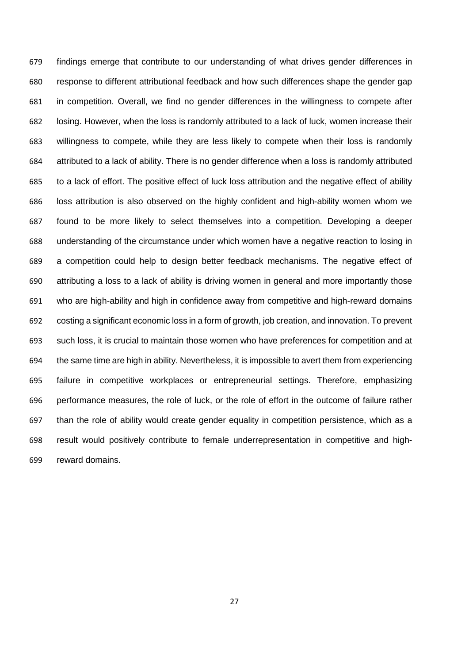findings emerge that contribute to our understanding of what drives gender differences in response to different attributional feedback and how such differences shape the gender gap in competition. Overall, we find no gender differences in the willingness to compete after losing. However, when the loss is randomly attributed to a lack of luck, women increase their willingness to compete, while they are less likely to compete when their loss is randomly attributed to a lack of ability. There is no gender difference when a loss is randomly attributed to a lack of effort. The positive effect of luck loss attribution and the negative effect of ability loss attribution is also observed on the highly confident and high-ability women whom we found to be more likely to select themselves into a competition. Developing a deeper understanding of the circumstance under which women have a negative reaction to losing in a competition could help to design better feedback mechanisms. The negative effect of attributing a loss to a lack of ability is driving women in general and more importantly those who are high-ability and high in confidence away from competitive and high-reward domains costing a significant economic loss in a form of growth, job creation, and innovation. To prevent such loss, it is crucial to maintain those women who have preferences for competition and at the same time are high in ability. Nevertheless, it is impossible to avert them from experiencing failure in competitive workplaces or entrepreneurial settings. Therefore, emphasizing performance measures, the role of luck, or the role of effort in the outcome of failure rather than the role of ability would create gender equality in competition persistence, which as a result would positively contribute to female underrepresentation in competitive and high-reward domains.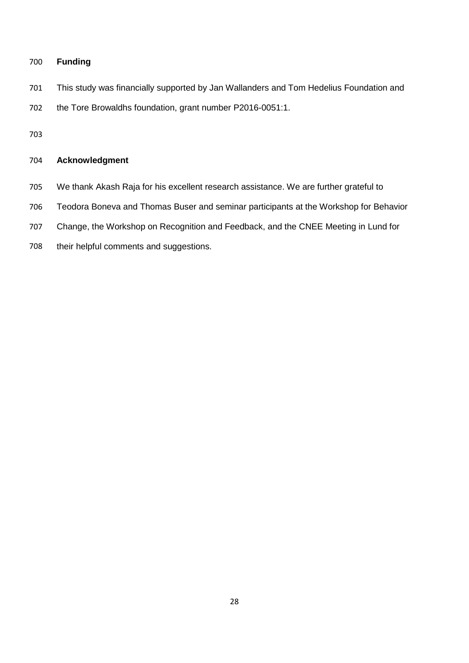## **Funding**

This study was financially supported by Jan Wallanders and Tom Hedelius Foundation and

the Tore Browaldhs foundation, grant number P2016-0051:1.

## **Acknowledgment**

- We thank Akash Raja for his excellent research assistance. We are further grateful to
- Teodora Boneva and Thomas Buser and seminar participants at the Workshop for Behavior
- Change, the Workshop on Recognition and Feedback, and the CNEE Meeting in Lund for
- their helpful comments and suggestions.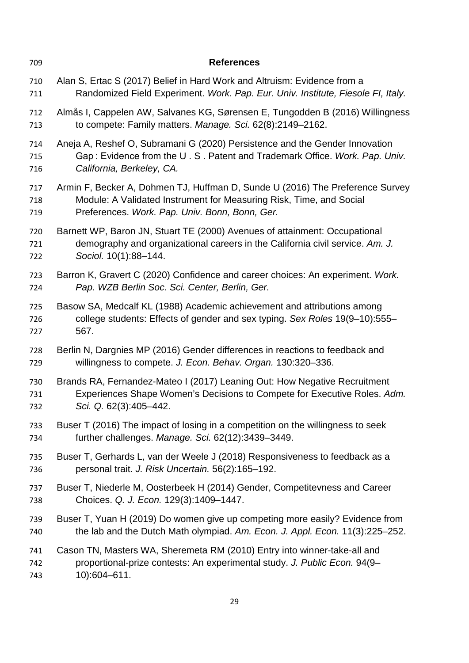| 709 | <b>References</b>                                                                |
|-----|----------------------------------------------------------------------------------|
| 710 | Alan S, Ertac S (2017) Belief in Hard Work and Altruism: Evidence from a         |
| 711 | Randomized Field Experiment. Work. Pap. Eur. Univ. Institute, Fiesole FI, Italy. |
| 712 | Almås I, Cappelen AW, Salvanes KG, Sørensen E, Tungodden B (2016) Willingness    |
| 713 | to compete: Family matters. Manage. Sci. 62(8):2149-2162.                        |
| 714 | Aneja A, Reshef O, Subramani G (2020) Persistence and the Gender Innovation      |
| 715 | Gap: Evidence from the U.S. Patent and Trademark Office. Work. Pap. Univ.        |
| 716 | California, Berkeley, CA.                                                        |
| 717 | Armin F, Becker A, Dohmen TJ, Huffman D, Sunde U (2016) The Preference Survey    |
| 718 | Module: A Validated Instrument for Measuring Risk, Time, and Social              |
| 719 | Preferences. Work. Pap. Univ. Bonn, Bonn, Ger.                                   |
| 720 | Barnett WP, Baron JN, Stuart TE (2000) Avenues of attainment: Occupational       |
| 721 | demography and organizational careers in the California civil service. Am. J.    |
| 722 | Sociol. 10(1):88-144.                                                            |
| 723 | Barron K, Gravert C (2020) Confidence and career choices: An experiment. Work.   |
| 724 | Pap. WZB Berlin Soc. Sci. Center, Berlin, Ger.                                   |
| 725 | Basow SA, Medcalf KL (1988) Academic achievement and attributions among          |
| 726 | college students: Effects of gender and sex typing. Sex Roles 19(9-10):555-      |
| 727 | 567.                                                                             |
| 728 | Berlin N, Dargnies MP (2016) Gender differences in reactions to feedback and     |
| 729 | willingness to compete. J. Econ. Behav. Organ. 130:320-336.                      |
| 730 | Brands RA, Fernandez-Mateo I (2017) Leaning Out: How Negative Recruitment        |
| 731 | Experiences Shape Women's Decisions to Compete for Executive Roles. Adm.         |
| 732 | Sci. Q. 62(3):405-442.                                                           |
| 733 | Buser T (2016) The impact of losing in a competition on the willingness to seek  |
| 734 | further challenges. Manage. Sci. 62(12):3439-3449.                               |
| 735 | Buser T, Gerhards L, van der Weele J (2018) Responsiveness to feedback as a      |
| 736 | personal trait. J. Risk Uncertain. 56(2):165-192.                                |
| 737 | Buser T, Niederle M, Oosterbeek H (2014) Gender, Competitevness and Career       |
| 738 | Choices. Q. J. Econ. 129(3):1409-1447.                                           |
| 739 | Buser T, Yuan H (2019) Do women give up competing more easily? Evidence from     |
| 740 | the lab and the Dutch Math olympiad. Am. Econ. J. Appl. Econ. 11(3):225-252.     |
| 741 | Cason TN, Masters WA, Sheremeta RM (2010) Entry into winner-take-all and         |
| 742 | proportional-prize contests: An experimental study. J. Public Econ. 94(9-        |
| 743 | 10):604-611.                                                                     |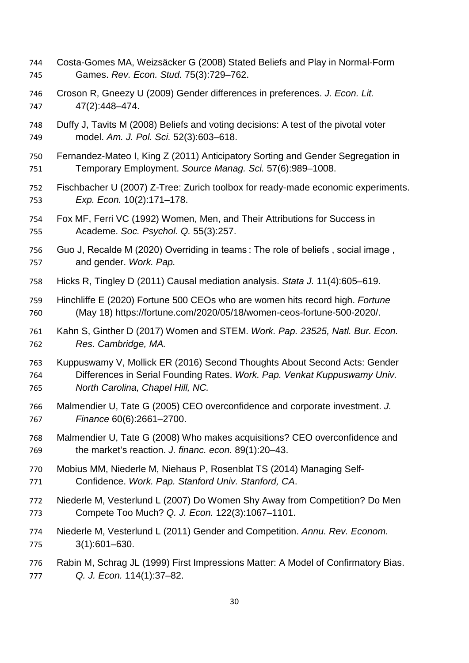- Costa-Gomes MA, Weizsäcker G (2008) Stated Beliefs and Play in Normal-Form Games. *Rev. Econ. Stud.* 75(3):729–762.
- Croson R, Gneezy U (2009) Gender differences in preferences. *J. Econ. Lit.* 47(2):448–474.
- Duffy J, Tavits M (2008) Beliefs and voting decisions: A test of the pivotal voter model. *Am. J. Pol. Sci.* 52(3):603–618.
- Fernandez-Mateo I, King Z (2011) Anticipatory Sorting and Gender Segregation in Temporary Employment. *Source Manag. Sci.* 57(6):989–1008.
- Fischbacher U (2007) Z-Tree: Zurich toolbox for ready-made economic experiments. *Exp. Econ.* 10(2):171–178.
- Fox MF, Ferri VC (1992) Women, Men, and Their Attributions for Success in Academe. *Soc. Psychol. Q.* 55(3):257.
- Guo J, Recalde M (2020) Overriding in teams : The role of beliefs , social image , and gender. *Work. Pap.*
- Hicks R, Tingley D (2011) Causal mediation analysis. *Stata J.* 11(4):605–619.
- Hinchliffe E (2020) Fortune 500 CEOs who are women hits record high. *Fortune* (May 18) https://fortune.com/2020/05/18/women-ceos-fortune-500-2020/.
- Kahn S, Ginther D (2017) Women and STEM. *Work. Pap. 23525, Natl. Bur. Econ. Res. Cambridge, MA.*
- Kuppuswamy V, Mollick ER (2016) Second Thoughts About Second Acts: Gender Differences in Serial Founding Rates. *Work. Pap. Venkat Kuppuswamy Univ. North Carolina, Chapel Hill, NC.*
- Malmendier U, Tate G (2005) CEO overconfidence and corporate investment. *J. Finance* 60(6):2661–2700.
- Malmendier U, Tate G (2008) Who makes acquisitions? CEO overconfidence and the market's reaction. *J. financ. econ.* 89(1):20–43.
- Mobius MM, Niederle M, Niehaus P, Rosenblat TS (2014) Managing Self-Confidence. *Work. Pap. Stanford Univ. Stanford, CA*.
- Niederle M, Vesterlund L (2007) Do Women Shy Away from Competition? Do Men Compete Too Much? *Q. J. Econ.* 122(3):1067–1101.
- Niederle M, Vesterlund L (2011) Gender and Competition. *Annu. Rev. Econom.* 3(1):601–630.
- Rabin M, Schrag JL (1999) First Impressions Matter: A Model of Confirmatory Bias. *Q. J. Econ.* 114(1):37–82.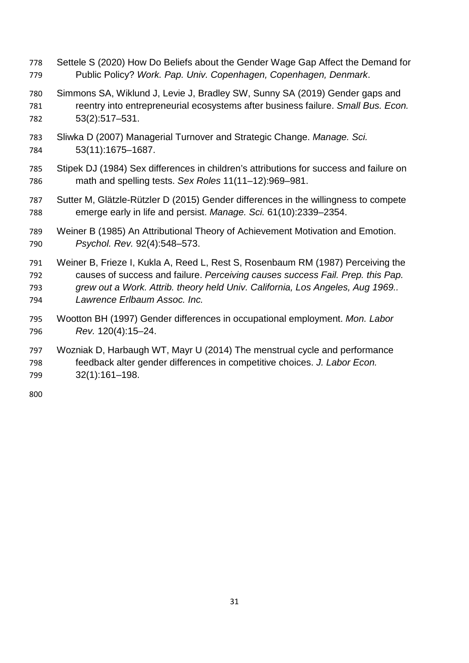- Settele S (2020) How Do Beliefs about the Gender Wage Gap Affect the Demand for Public Policy? *Work. Pap. Univ. Copenhagen, Copenhagen, Denmark*.
- Simmons SA, Wiklund J, Levie J, Bradley SW, Sunny SA (2019) Gender gaps and reentry into entrepreneurial ecosystems after business failure. *Small Bus. Econ.* 53(2):517–531.
- Sliwka D (2007) Managerial Turnover and Strategic Change. *Manage. Sci.* 53(11):1675–1687.
- Stipek DJ (1984) Sex differences in children's attributions for success and failure on math and spelling tests. *Sex Roles* 11(11–12):969–981.
- Sutter M, Glätzle-Rützler D (2015) Gender differences in the willingness to compete emerge early in life and persist. *Manage. Sci.* 61(10):2339–2354.
- Weiner B (1985) An Attributional Theory of Achievement Motivation and Emotion. *Psychol. Rev.* 92(4):548–573.
- Weiner B, Frieze I, Kukla A, Reed L, Rest S, Rosenbaum RM (1987) Perceiving the causes of success and failure. *Perceiving causes success Fail. Prep. this Pap. grew out a Work. Attrib. theory held Univ. California, Los Angeles, Aug 1969.. Lawrence Erlbaum Assoc. Inc.*
- Wootton BH (1997) Gender differences in occupational employment. *Mon. Labor Rev.* 120(4):15–24.
- Wozniak D, Harbaugh WT, Mayr U (2014) The menstrual cycle and performance feedback alter gender differences in competitive choices. *J. Labor Econ.* 32(1):161–198.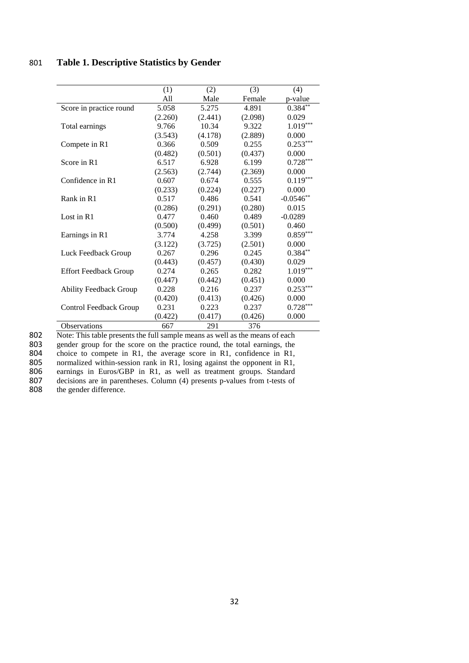## 801 **Table 1. Descriptive Statistics by Gender**

|                               | (1)     | (2)     | (3)     | (4)         |
|-------------------------------|---------|---------|---------|-------------|
|                               | All     | Male    | Female  | p-value     |
| Score in practice round       | 5.058   | 5.275   | 4.891   | $0.384**$   |
|                               | (2.260) | (2.441) | (2.098) | 0.029       |
| Total earnings                | 9.766   | 10.34   | 9.322   | $1.019***$  |
|                               | (3.543) | (4.178) | (2.889) | 0.000       |
| Compete in R1                 | 0.366   | 0.509   | 0.255   | $0.253***$  |
|                               | (0.482) | (0.501) | (0.437) | 0.000       |
| Score in R1                   | 6.517   | 6.928   | 6.199   | $0.728***$  |
|                               | (2.563) | (2.744) | (2.369) | 0.000       |
| Confidence in R1              | 0.607   | 0.674   | 0.555   | $0.119***$  |
|                               | (0.233) | (0.224) | (0.227) | 0.000       |
| Rank in R1                    | 0.517   | 0.486   | 0.541   | $-0.0546**$ |
|                               | (0.286) | (0.291) | (0.280) | 0.015       |
| Lost in R1                    | 0.477   | 0.460   | 0.489   | $-0.0289$   |
|                               | (0.500) | (0.499) | (0.501) | 0.460       |
| Earnings in R1                | 3.774   | 4.258   | 3.399   | $0.859***$  |
|                               | (3.122) | (3.725) | (2.501) | 0.000       |
| Luck Feedback Group           | 0.267   | 0.296   | 0.245   | $0.384**$   |
|                               | (0.443) | (0.457) | (0.430) | 0.029       |
| <b>Effort Feedback Group</b>  | 0.274   | 0.265   | 0.282   | $1.019***$  |
|                               | (0.447) | (0.442) | (0.451) | 0.000       |
| <b>Ability Feedback Group</b> | 0.228   | 0.216   | 0.237   | $0.253***$  |
|                               | (0.420) | (0.413) | (0.426) | 0.000       |
| Control Feedback Group        | 0.231   | 0.223   | 0.237   | $0.728***$  |
|                               | (0.422) | (0.417) | (0.426) | 0.000       |
| <b>Observations</b>           | 667     | 291     | 376     |             |

802 Note: This table presents the full sample means as well as the means of each gender group for the score on the practice round, the total earnings, the

803 gender group for the score on the practice round, the total earnings, the 804 choice to compete in R1, the average score in R1, confidence in R1,

804 choice to compete in R1, the average score in R1, confidence in R1, 805 normalized within-session rank in R1, losing against the opponent in R1,

normalized within-session rank in R1, losing against the opponent in R1,

806 earnings in Euros/GBP in R1, as well as treatment groups. Standard decisions are in parentheses. Column (4) presents p-values from t-tests of

807 decisions are in parentheses. Column (4) presents p-values from t-tests of the gender difference. the gender difference.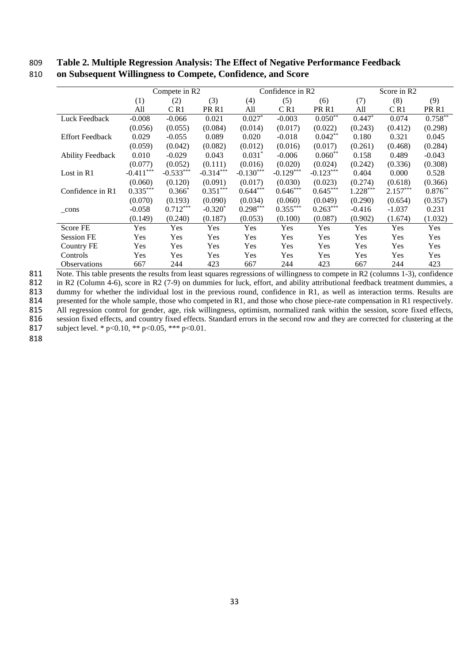## 809 **Table 2. Multiple Regression Analysis: The Effect of Negative Performance Feedback**  810 **on Subsequent Willingness to Compete, Confidence, and Score**

|                         |             | Compete in R2 |                  |             | Confidence in R2 |                  |            | Score in R2 |                  |
|-------------------------|-------------|---------------|------------------|-------------|------------------|------------------|------------|-------------|------------------|
|                         | (1)         | (2)           | (3)              | (4)         | (5)              | (6)              | (7)        | (8)         | (9)              |
|                         | All         | CR1           | PR <sub>R1</sub> | All         | CR1              | PR <sub>R1</sub> | All        | CR1         | PR <sub>R1</sub> |
| Luck Feedback           | $-0.008$    | $-0.066$      | 0.021            | $0.027*$    | $-0.003$         | $0.050^{**}$     | $0.447*$   | 0.074       | $0.758***$       |
|                         | (0.056)     | (0.055)       | (0.084)          | (0.014)     | (0.017)          | (0.022)          | (0.243)    | (0.412)     | (0.298)          |
| <b>Effort Feedback</b>  | 0.029       | $-0.055$      | 0.089            | 0.020       | $-0.018$         | $0.042**$        | 0.180      | 0.321       | 0.045            |
|                         | (0.059)     | (0.042)       | (0.082)          | (0.012)     | (0.016)          | (0.017)          | (0.261)    | (0.468)     | (0.284)          |
| <b>Ability Feedback</b> | 0.010       | $-0.029$      | 0.043            | $0.031*$    | $-0.006$         | $0.060**$        | 0.158      | 0.489       | $-0.043$         |
|                         | (0.077)     | (0.052)       | (0.111)          | (0.016)     | (0.020)          | (0.024)          | (0.242)    | (0.336)     | (0.308)          |
| Lost in R1              | $-0.411***$ | $-0.533***$   | $-0.314***$      | $-0.130***$ | $-0.129***$      | $-0.123***$      | 0.404      | 0.000       | 0.528            |
|                         | (0.060)     | (0.120)       | (0.091)          | (0.017)     | (0.030)          | (0.023)          | (0.274)    | (0.618)     | (0.366)          |
| Confidence in R1        | $0.335***$  | $0.366*$      | $0.351***$       | $0.644***$  | $0.646***$       | $0.645***$       | $1.228***$ | $2.157***$  | $0.876**$        |
|                         | (0.070)     | (0.193)       | (0.090)          | (0.034)     | (0.060)          | (0.049)          | (0.290)    | (0.654)     | (0.357)          |
| $_{\rm cons}$           | $-0.058$    | $0.712***$    | $-0.320*$        | $0.298***$  | $0.355***$       | $0.263***$       | $-0.416$   | $-1.037$    | 0.231            |
|                         | (0.149)     | (0.240)       | (0.187)          | (0.053)     | (0.100)          | (0.087)          | (0.902)    | (1.674)     | (1.032)          |
| Score FE                | Yes         | <b>Yes</b>    | Yes              | Yes         | Yes              | Yes              | Yes        | <b>Yes</b>  | <b>Yes</b>       |
| Session FE              | Yes         | Yes           | Yes              | Yes         | Yes              | Yes              | Yes        | Yes         | Yes              |
| Country FE              | Yes         | Yes           | Yes              | Yes         | Yes              | Yes              | Yes        | Yes         | Yes              |
| Controls                | Yes         | Yes           | Yes              | Yes         | Yes              | Yes              | Yes        | <b>Yes</b>  | Yes              |
| <b>Observations</b>     | 667         | 244           | 423              | 667         | 244              | 423              | 667        | 244         | 423              |

811 Note. This table presents the results from least squares regressions of willingness to compete in R2 (columns 1-3), confidence in R2 (Column 4-6), score in R2 (7-9) on dummies for luck, effort, and ability attributiona 812 in R2 (Column 4-6), score in R2 (7-9) on dummies for luck, effort, and ability attributional feedback treatment dummies, a 813 dummy for whether the individual lost in the previous round, confidence in R1, as well as interaction terms. Results are presented for the whole sample, those who competed in R1, and those who chose piece-rate compensa 814 presented for the whole sample, those who competed in R1, and those who chose piece-rate compensation in R1 respectively.<br>815 All regression control for gender, age, risk willingness, optimism, normalized rank within t All regression control for gender, age, risk willingness, optimism, normalized rank within the session, score fixed effects, 816 session fixed effects, and country fixed effects. Standard errors in the second row and they are corrected for clustering at the subject level. \*  $p<0.10$ , \*\*  $p<0.05$ , \*\*  $p<0.01$ . subject level. \* p<0.10, \*\* p<0.05, \*\*\* p<0.01.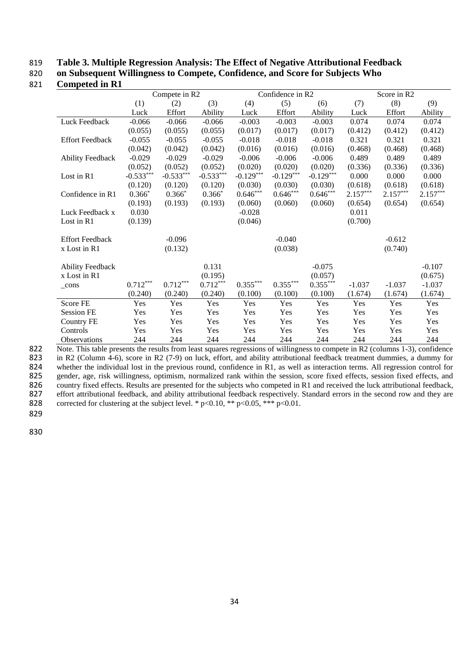## 819 **Table 3. Multiple Regression Analysis: The Effect of Negative Attributional Feedback**

820 **on Subsequent Willingness to Compete, Confidence, and Score for Subjects Who** 

### 821 **Competed in R1**

|            |                                               |                                           |                                                                                                         |                                                    |                                                               | Score in R2                                                            |                                  |            |  |
|------------|-----------------------------------------------|-------------------------------------------|---------------------------------------------------------------------------------------------------------|----------------------------------------------------|---------------------------------------------------------------|------------------------------------------------------------------------|----------------------------------|------------|--|
| (1)        |                                               |                                           | (4)                                                                                                     |                                                    | (6)                                                           | (7)                                                                    | (8)                              | (9)        |  |
| Luck       | Effort                                        | Ability                                   | Luck                                                                                                    | Effort                                             | Ability                                                       | Luck                                                                   | Effort                           | Ability    |  |
| $-0.066$   | $-0.066$                                      | $-0.066$                                  | $-0.003$                                                                                                | $-0.003$                                           | $-0.003$                                                      | 0.074                                                                  | 0.074                            | 0.074      |  |
| (0.055)    | (0.055)                                       | (0.055)                                   | (0.017)                                                                                                 | (0.017)                                            | (0.017)                                                       | (0.412)                                                                | (0.412)                          | (0.412)    |  |
| $-0.055$   | $-0.055$                                      | $-0.055$                                  | $-0.018$                                                                                                | $-0.018$                                           | $-0.018$                                                      | 0.321                                                                  | 0.321                            | 0.321      |  |
| (0.042)    | (0.042)                                       | (0.042)                                   | (0.016)                                                                                                 | (0.016)                                            | (0.016)                                                       | (0.468)                                                                | (0.468)                          | (0.468)    |  |
| $-0.029$   | $-0.029$                                      | $-0.029$                                  | $-0.006$                                                                                                | $-0.006$                                           | $-0.006$                                                      | 0.489                                                                  | 0.489                            | 0.489      |  |
| (0.052)    | (0.052)                                       | (0.052)                                   | (0.020)                                                                                                 | (0.020)                                            | (0.020)                                                       | (0.336)                                                                | (0.336)                          | (0.336)    |  |
|            |                                               |                                           |                                                                                                         |                                                    |                                                               | 0.000                                                                  | 0.000                            | 0.000      |  |
|            |                                               |                                           | (0.030)                                                                                                 | (0.030)                                            | (0.030)                                                       |                                                                        | (0.618)                          | (0.618)    |  |
|            |                                               |                                           |                                                                                                         |                                                    |                                                               |                                                                        |                                  | $2.157***$ |  |
| (0.193)    | (0.193)                                       |                                           | (0.060)                                                                                                 | (0.060)                                            | (0.060)                                                       | (0.654)                                                                | (0.654)                          | (0.654)    |  |
| 0.030      |                                               |                                           | $-0.028$                                                                                                |                                                    |                                                               | 0.011                                                                  |                                  |            |  |
|            |                                               |                                           |                                                                                                         |                                                    |                                                               |                                                                        |                                  |            |  |
|            | $-0.096$                                      |                                           |                                                                                                         | $-0.040$                                           |                                                               |                                                                        | $-0.612$                         |            |  |
|            | (0.132)                                       |                                           |                                                                                                         | (0.038)                                            |                                                               |                                                                        | (0.740)                          |            |  |
|            |                                               |                                           |                                                                                                         |                                                    | $-0.075$                                                      |                                                                        |                                  | $-0.107$   |  |
|            |                                               |                                           |                                                                                                         |                                                    |                                                               |                                                                        |                                  | (0.675)    |  |
| $0.712***$ | $0.712***$                                    |                                           |                                                                                                         |                                                    |                                                               | $-1.037$                                                               | $-1.037$                         | $-1.037$   |  |
| (0.240)    | (0.240)                                       | (0.240)                                   | (0.100)                                                                                                 | (0.100)                                            | (0.100)                                                       | (1.674)                                                                | (1.674)                          | (1.674)    |  |
| Yes        | Yes                                           | Yes                                       | Yes                                                                                                     | Yes                                                | Yes                                                           | Yes                                                                    | Yes                              | Yes        |  |
| Yes        | Yes                                           | Yes                                       | Yes                                                                                                     | Yes                                                | Yes                                                           | Yes                                                                    | Yes                              | Yes        |  |
| Yes        | Yes                                           | Yes                                       | Yes                                                                                                     | Yes                                                | Yes                                                           | Yes                                                                    | Yes                              | Yes        |  |
| Yes        | Yes                                           | Yes                                       | Yes                                                                                                     | Yes                                                | Yes                                                           | Yes                                                                    | Yes                              | Yes        |  |
| 244        | 244                                           | 244                                       | 244                                                                                                     | 244                                                | 244                                                           | 244                                                                    | 244                              | 244        |  |
|            | $-0.533***$<br>(0.120)<br>$0.366*$<br>(0.139) | (2)<br>$-0.533***$<br>(0.120)<br>$0.366*$ | Compete in R2<br>(3)<br>$-0.533***$<br>(0.120)<br>$0.366*$<br>(0.193)<br>0.131<br>(0.195)<br>$0.712***$ | $-0.129***$<br>$0.646***$<br>(0.046)<br>$0.355***$ | (5)<br>$-0.129***$<br>$0.646^{***}$<br>$0.355^{\ast\ast\ast}$ | Confidence in R2<br>$-0.129***$<br>$0.646***$<br>(0.057)<br>$0.355***$ | (0.618)<br>$2.157***$<br>(0.700) | $2.157***$ |  |

822 Note. This table presents the results from least squares regressions of willingness to compete in R2 (columns 1-3), confidence 823 in R2 (Column 4-6), score in R2 (7-9) on luck, effort, and ability attributional feedba 823 in R2 (Column 4-6), score in R2 (7-9) on luck, effort, and ability attributional feedback treatment dummies, a dummy for whether the individual lost in the previous round, confidence in R1, as well as interaction term 824 whether the individual lost in the previous round, confidence in R1, as well as interaction terms. All regression control for gender, age, risk willingness, optimism, normalized rank within the session, score fixed eff 825 gender, age, risk willingness, optimism, normalized rank within the session, score fixed effects, session fixed effects, and country fixed effects. Results are presented for the subjects who competed in R1 and received 826 country fixed effects. Results are presented for the subjects who competed in R1 and received the luck attributional feedback, effort attributional feedback, and ability attributional feedback respectively. Standard er effort attributional feedback, and ability attributional feedback respectively. Standard errors in the second row and they are 828 corrected for clustering at the subject level. \*  $p<0.10$ , \*\*  $p<0.05$ , \*\*\*  $p<0.01$ .

829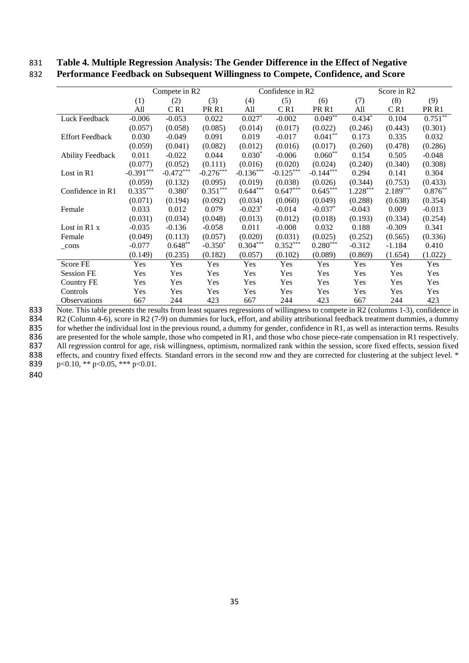## 831 **Table 4. Multiple Regression Analysis: The Gender Difference in the Effect of Negative**

| 832 Performance Feedback on Subsequent Willingness to Compete, Confidence, and Score |  |  |  |  |  |  |  |  |
|--------------------------------------------------------------------------------------|--|--|--|--|--|--|--|--|
|--------------------------------------------------------------------------------------|--|--|--|--|--|--|--|--|

|                         |             | Compete in R2 |                  |                       | Confidence in R2 |                  |            | Score in R2 |                  |
|-------------------------|-------------|---------------|------------------|-----------------------|------------------|------------------|------------|-------------|------------------|
|                         | (1)         | (2)           | (3)              | (4)                   | (5)              | (6)              | (7)        | (8)         | (9)              |
|                         | All         | CR1           | PR <sub>R1</sub> | All                   | C R1             | PR <sub>R1</sub> | All        | CR1         | PR <sub>R1</sub> |
| Luck Feedback           | $-0.006$    | $-0.053$      | 0.022            | $0.027*$              | $-0.002$         | $0.049***$       | $0.434*$   | 0.104       | $0.751***$       |
|                         | (0.057)     | (0.058)       | (0.085)          | (0.014)               | (0.017)          | (0.022)          | (0.246)    | (0.443)     | (0.301)          |
| <b>Effort Feedback</b>  | 0.030       | $-0.049$      | 0.091            | 0.019                 | $-0.017$         | $0.041**$        | 0.173      | 0.335       | 0.032            |
|                         | (0.059)     | (0.041)       | (0.082)          | (0.012)               | (0.016)          | (0.017)          | (0.260)    | (0.478)     | (0.286)          |
| <b>Ability Feedback</b> | 0.011       | $-0.022$      | 0.044            | $0.030*$              | $-0.006$         | $0.060**$        | 0.154      | 0.505       | $-0.048$         |
|                         | (0.077)     | (0.052)       | (0.111)          | (0.016)               | (0.020)          | (0.024)          | (0.240)    | (0.340)     | (0.308)          |
| Lost in R1              | $-0.391***$ | $-0.472***$   | $-0.276***$      | $-0.136***$           | $-0.125***$      | $-0.144***$      | 0.294      | 0.141       | 0.304            |
|                         | (0.059)     | (0.132)       | (0.095)          | (0.019)               | (0.038)          | (0.026)          | (0.344)    | (0.753)     | (0.433)          |
| Confidence in R1        | $0.335***$  | $0.380*$      | $0.351***$       | $0.644***$            | $0.647***$       | $0.645***$       | $1.228***$ | $2.189***$  | $0.876**$        |
|                         | (0.071)     | (0.194)       | (0.092)          | (0.034)               | (0.060)          | (0.049)          | (0.288)    | (0.638)     | (0.354)          |
| Female                  | 0.033       | 0.012         | 0.079            | $-0.023$ <sup>*</sup> | $-0.014$         | $-0.037$ *       | $-0.043$   | 0.009       | $-0.013$         |
|                         | (0.031)     | (0.034)       | (0.048)          | (0.013)               | (0.012)          | (0.018)          | (0.193)    | (0.334)     | (0.254)          |
| Lost in $R1x$           | $-0.035$    | $-0.136$      | $-0.058$         | 0.011                 | $-0.008$         | 0.032            | 0.188      | $-0.309$    | 0.341            |
| Female                  | (0.049)     | (0.113)       | (0.057)          | (0.020)               | (0.031)          | (0.025)          | (0.252)    | (0.565)     | (0.336)          |
| $_{\rm cons}$           | $-0.077$    | $0.648**$     | $-0.350*$        | $0.304***$            | $0.352***$       | $0.280***$       | $-0.312$   | $-1.184$    | 0.410            |
|                         | (0.149)     | (0.235)       | (0.182)          | (0.057)               | (0.102)          | (0.089)          | (0.869)    | (1.654)     | (1.022)          |
| Score FE                | <b>Yes</b>  | Yes           | Yes              | Yes                   | Yes              | Yes              | Yes        | Yes         | Yes              |
| <b>Session FE</b>       | Yes         | Yes           | Yes              | Yes                   | Yes              | Yes              | Yes        | Yes         | Yes              |
| <b>Country FE</b>       | <b>Yes</b>  | Yes           | Yes              | Yes                   | Yes              | Yes              | Yes        | Yes         | Yes              |
| Controls                | Yes         | Yes           | Yes              | Yes                   | Yes              | Yes              | Yes        | Yes         | Yes              |
| Observations            | 667         | 244           | 423              | 667                   | 244              | 423              | 667        | 244         | 423              |

833 Note. This table presents the results from least squares regressions of willingness to compete in R2 (columns 1-3), confidence in

834 R2 (Column 4-6), score in R2 (7-9) on dummies for luck, effort, and ability attributional feedback treatment dummies, a dummy for whether the individual lost in the previous round, a dummy for gender, confidence in R1,

835 for whether the individual lost in the previous round, a dummy for gender, confidence in R1, as well as interaction terms. Results are presented for the whole sample, those who competed in R1, and those who chose piece

are presented for the whole sample, those who competed in R1, and those who chose piece-rate compensation in R1 respectively.

837 All regression control for age, risk willingness, optimism, normalized rank within the session, score fixed effects, session fixed

838 effects, and country fixed effects. Standard errors in the second row and they are corrected for clustering at the subject level. \* 839 p<0.10, \*\* p<0.05, \*\*\* p<0.01.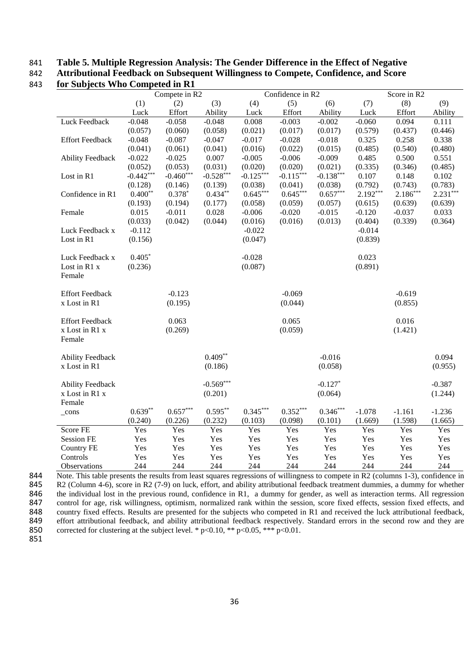## 841 **Table 5. Multiple Regression Analysis: The Gender Difference in the Effect of Negative**

842 **Attributional Feedback on Subsequent Willingness to Compete, Confidence, and Score** 

|                          |             | Compete in R2 |             |             | Confidence in R2 |             |            | Score in R2 |            |
|--------------------------|-------------|---------------|-------------|-------------|------------------|-------------|------------|-------------|------------|
|                          | (1)         | (2)           | (3)         | (4)         | (5)              | (6)         | (7)        | (8)         | (9)        |
|                          | Luck        | Effort        | Ability     | Luck        | Effort           | Ability     | Luck       | Effort      | Ability    |
| Luck Feedback            | $-0.048$    | $-0.058$      | $-0.048$    | 0.008       | $-0.003$         | $-0.002$    | $-0.060$   | 0.094       | 0.111      |
|                          | (0.057)     | (0.060)       | (0.058)     | (0.021)     | (0.017)          | (0.017)     | (0.579)    | (0.437)     | (0.446)    |
| <b>Effort Feedback</b>   | $-0.048$    | $-0.087$      | $-0.047$    | $-0.017$    | $-0.028$         | $-0.018$    | 0.325      | 0.258       | 0.338      |
|                          | (0.041)     | (0.061)       | (0.041)     | (0.016)     | (0.022)          | (0.015)     | (0.485)    | (0.540)     | (0.480)    |
| <b>Ability Feedback</b>  | $-0.022$    | $-0.025$      | 0.007       | $-0.005$    | $-0.006$         | $-0.009$    | 0.485      | 0.500       | 0.551      |
|                          | (0.052)     | (0.053)       | (0.031)     | (0.020)     | (0.020)          | (0.021)     | (0.335)    | (0.346)     | (0.485)    |
| Lost in R1               | $-0.442***$ | $-0.460$ ***  | $-0.528***$ | $-0.125***$ | $-0.115***$      | $-0.138***$ | 0.107      | 0.148       | 0.102      |
|                          | (0.128)     | (0.146)       | (0.139)     | (0.038)     | (0.041)          | (0.038)     | (0.792)    | (0.743)     | (0.783)    |
| Confidence in R1         | $0.400**$   | $0.378*$      | $0.434**$   | $0.645***$  | $0.645***$       | $0.657***$  | $2.192***$ | $2.186***$  | $2.231***$ |
|                          | (0.193)     | (0.194)       | (0.177)     | (0.058)     | (0.059)          | (0.057)     | (0.615)    | (0.639)     | (0.639)    |
| Female                   | 0.015       | $-0.011$      | 0.028       | $-0.006$    | $-0.020$         | $-0.015$    | $-0.120$   | $-0.037$    | 0.033      |
|                          | (0.033)     | (0.042)       | (0.044)     | (0.016)     | (0.016)          | (0.013)     | (0.404)    | (0.339)     | (0.364)    |
| Luck Feedback x          | $-0.112$    |               |             | $-0.022$    |                  |             | $-0.014$   |             |            |
| Lost in R1               | (0.156)     |               |             | (0.047)     |                  |             | (0.839)    |             |            |
| Luck Feedback x          | $0.405*$    |               |             | $-0.028$    |                  |             | 0.023      |             |            |
| Lost in R1 x             | (0.236)     |               |             | (0.087)     |                  |             | (0.891)    |             |            |
| Female                   |             |               |             |             |                  |             |            |             |            |
| <b>Effort Feedback</b>   |             | $-0.123$      |             |             | $-0.069$         |             |            | $-0.619$    |            |
| x Lost in R1             |             | (0.195)       |             |             | (0.044)          |             |            | (0.855)     |            |
| <b>Effort Feedback</b>   |             | 0.063         |             |             | 0.065            |             |            | 0.016       |            |
| x Lost in R1 x<br>Female |             | (0.269)       |             |             | (0.059)          |             |            | (1.421)     |            |
| <b>Ability Feedback</b>  |             |               | $0.409**$   |             |                  | $-0.016$    |            |             | 0.094      |
| x Lost in R1             |             |               | (0.186)     |             |                  | (0.058)     |            |             | (0.955)    |
|                          |             |               |             |             |                  |             |            |             |            |
| <b>Ability Feedback</b>  |             |               | $-0.569***$ |             |                  | $-0.127*$   |            |             | $-0.387$   |
| x Lost in R1 x           |             |               | (0.201)     |             |                  | (0.064)     |            |             | (1.244)    |
| Female                   |             |               |             |             |                  |             |            |             |            |
| $_{\rm cons}$            | $0.639**$   | $0.657***$    | $0.595***$  | $0.345***$  | $0.352***$       | $0.346***$  | $-1.078$   | $-1.161$    | $-1.236$   |
|                          | (0.240)     | (0.226)       | (0.232)     | (0.103)     | (0.098)          | (0.101)     | (1.669)    | (1.598)     | (1.665)    |
| Score FE                 | Yes         | Yes           | Yes         | Yes         | Yes              | Yes         | Yes        | Yes         | Yes        |
| <b>Session FE</b>        | Yes         | Yes           | Yes         | Yes         | Yes              | Yes         | Yes        | Yes         | Yes        |
| <b>Country FE</b>        | Yes         | Yes           | Yes         | Yes         | Yes              | Yes         | Yes        | Yes         | Yes        |
| Controls                 | Yes         | Yes           | Yes         | Yes         | Yes              | Yes         | Yes        | Yes         | Yes        |
| Observations             | 244         | 244           | 244         | 244         | 244              | 244         | 244        | 244         | 244        |

843 **for Subjects Who Competed in R1**

844 Note. This table presents the results from least squares regressions of willingness to compete in R2 (columns 1-3), confidence in 845 R2 (Column 4-6), score in R2 (7-9) on luck, effort, and ability attributional feedback treatment dummies, a dummy for whether the individual lost in the previous round, confidence in R1, a dummy for gender, as well as 846 the individual lost in the previous round, confidence in R1, a dummy for gender, as well as interaction terms. All regression control for age, risk willingness, optimism, normalized rank within the session, score fixed control for age, risk willingness, optimism, normalized rank within the session, score fixed effects, session fixed effects, and 848 country fixed effects. Results are presented for the subjects who competed in R1 and received the luck attributional feedback, 849 effort attributional feedback, and ability attributional feedback respectively. Standard errors in the second row and they are corrected for clustering at the subject level. \*  $p<0.10$ , \*\*  $p<0.05$ , \*\*\*  $p<0.01$ . corrected for clustering at the subject level. \*  $p<0.10$ , \*\*  $p<0.05$ , \*\*\*  $p<0.01$ .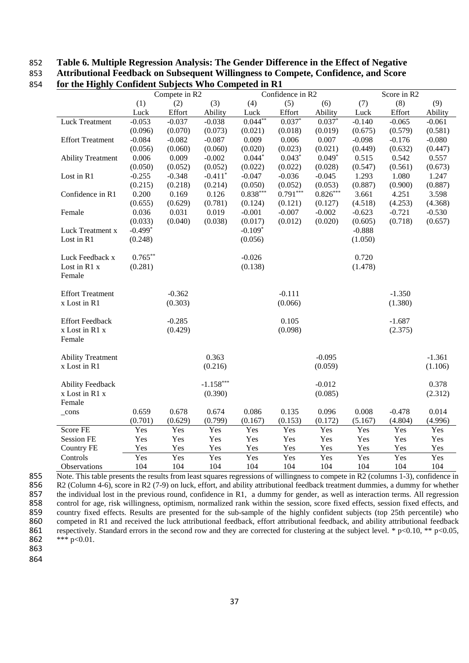## 852 **Table 6. Multiple Regression Analysis: The Gender Difference in the Effect of Negative**  853 **Attributional Feedback on Subsequent Willingness to Compete, Confidence, and Score**

|                          |            | Compete in R2 |                       |            | Confidence in R2 |            |          | Score in R2 |          |
|--------------------------|------------|---------------|-----------------------|------------|------------------|------------|----------|-------------|----------|
|                          | (1)        | (2)           | (3)                   | (4)        | (5)              | (6)        | (7)      | (8)         | (9)      |
|                          | Luck       | Effort        | Ability               | Luck       | Effort           | Ability    | Luck     | Effort      | Ability  |
| <b>Luck Treatment</b>    | $-0.053$   | $-0.037$      | $-0.038$              | $0.044***$ | $0.037*$         | $0.037*$   | $-0.140$ | $-0.065$    | $-0.061$ |
|                          | (0.096)    | (0.070)       | (0.073)               | (0.021)    | (0.018)          | (0.019)    | (0.675)  | (0.579)     | (0.581)  |
| <b>Effort Treatment</b>  | $-0.084$   | $-0.082$      | $-0.087$              | 0.009      | 0.006            | 0.007      | $-0.098$ | $-0.176$    | $-0.080$ |
|                          | (0.056)    | (0.060)       | (0.060)               | (0.020)    | (0.023)          | (0.021)    | (0.449)  | (0.632)     | (0.447)  |
| <b>Ability Treatment</b> | 0.006      | 0.009         | $-0.002$              | $0.044*$   | $0.043*$         | $0.049*$   | 0.515    | 0.542       | 0.557    |
|                          | (0.050)    | (0.052)       | (0.052)               | (0.022)    | (0.022)          | (0.028)    | (0.547)  | (0.561)     | (0.673)  |
| Lost in R1               | $-0.255$   | $-0.348$      | $-0.411$ <sup>*</sup> | $-0.047$   | $-0.036$         | $-0.045$   | 1.293    | 1.080       | 1.247    |
|                          | (0.215)    | (0.218)       | (0.214)               | (0.050)    | (0.052)          | (0.053)    | (0.887)  | (0.900)     | (0.887)  |
| Confidence in R1         | 0.200      | 0.169         | 0.126                 | $0.838***$ | $0.791***$       | $0.826***$ | 3.661    | 4.251       | 3.598    |
|                          | (0.655)    | (0.629)       | (0.781)               | (0.124)    | (0.121)          | (0.127)    | (4.518)  | (4.253)     | (4.368)  |
| Female                   | 0.036      | 0.031         | 0.019                 | $-0.001$   | $-0.007$         | $-0.002$   | $-0.623$ | $-0.721$    | $-0.530$ |
|                          | (0.033)    | (0.040)       | (0.038)               | (0.017)    | (0.012)          | (0.020)    | (0.605)  | (0.718)     | (0.657)  |
| Luck Treatment x         | $-0.499*$  |               |                       | $-0.109*$  |                  |            | $-0.888$ |             |          |
| Lost in R1               | (0.248)    |               |                       | (0.056)    |                  |            | (1.050)  |             |          |
| Luck Feedback x          | $0.765***$ |               |                       | $-0.026$   |                  |            | 0.720    |             |          |
| Lost in R1 x             | (0.281)    |               |                       | (0.138)    |                  |            | (1.478)  |             |          |
| Female                   |            |               |                       |            |                  |            |          |             |          |
| <b>Effort Treatment</b>  |            | $-0.362$      |                       |            | $-0.111$         |            |          | $-1.350$    |          |
| x Lost in R1             |            | (0.303)       |                       |            | (0.066)          |            |          | (1.380)     |          |
| <b>Effort Feedback</b>   |            | $-0.285$      |                       |            | 0.105            |            |          | $-1.687$    |          |
| x Lost in R1 x<br>Female |            | (0.429)       |                       |            | (0.098)          |            |          | (2.375)     |          |
| <b>Ability Treatment</b> |            |               | 0.363                 |            |                  | $-0.095$   |          |             | $-1.361$ |
| x Lost in R1             |            |               | (0.216)               |            |                  | (0.059)    |          |             | (1.106)  |
| <b>Ability Feedback</b>  |            |               | $-1.158***$           |            |                  | $-0.012$   |          |             | 0.378    |
| x Lost in R1 x           |            |               | (0.390)               |            |                  | (0.085)    |          |             | (2.312)  |
| Female                   |            |               |                       |            |                  |            |          |             |          |
| $_{\rm cons}$            | 0.659      | 0.678         | 0.674                 | 0.086      | 0.135            | 0.096      | 0.008    | $-0.478$    | 0.014    |
|                          | (0.701)    | (0.629)       | (0.799)               | (0.167)    | (0.153)          | (0.172)    | (5.167)  | (4.804)     | (4.996)  |
| Score FE                 | Yes        | Yes           | Yes                   | Yes        | Yes              | Yes        | Yes      | Yes         | Yes      |
| <b>Session FE</b>        | Yes        | Yes           | Yes                   | Yes        | Yes              | Yes        | Yes      | Yes         | Yes      |
| <b>Country FE</b>        | Yes        | Yes           | Yes                   | Yes        | Yes              | Yes        | Yes      | Yes         | Yes      |
| Controls                 | Yes        | Yes           | Yes                   | Yes        | Yes              | Yes        | Yes      | Yes         | Yes      |
| Observations             | 104        | 104           | 104                   | 104        | 104              | 104        | 104      | 104         | 104      |

## 854 **for the Highly Confident Subjects Who Competed in R1**

855 Note. This table presents the results from least squares regressions of willingness to compete in R2 (columns 1-3), confidence in R2 (Column 4-6), score in R2 (7-9) on luck, effort, and ability attributional feedback 856 R2 (Column 4-6), score in R2 (7-9) on luck, effort, and ability attributional feedback treatment dummies, a dummy for whether 857 the individual lost in the previous round, confidence in R1, a dummy for gender, as well as interaction terms. All regression control for age, risk willingness, optimism, normalized rank within the session, score fixed 858 control for age, risk willingness, optimism, normalized rank within the session, score fixed effects, session fixed effects, and country fixed effects. Results are presented for the sub-sample of the highly confident s country fixed effects. Results are presented for the sub-sample of the highly confident subjects (top 25th percentile) who 860 competed in R1 and received the luck attributional feedback, effort attributional feedback, and ability attributional feedback respectively. Standard errors in the second row and they are corrected for clustering at t 861 respectively. Standard errors in the second row and they are corrected for clustering at the subject level. \* p<0.10, \*\* p<0.05,  $862$  \*\* p<0.01. \*\*\*  $p<0.01$ .

863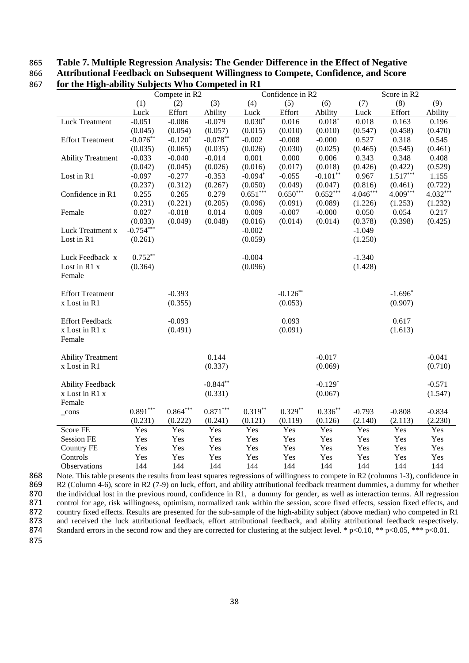## 865 **Table 7. Multiple Regression Analysis: The Gender Difference in the Effect of Negative**  866 **Attributional Feedback on Subsequent Willingness to Compete, Confidence, and Score**

|                          |             | Compete in R2 |            |            | Confidence in R2 |            |            | Score in R2 |            |
|--------------------------|-------------|---------------|------------|------------|------------------|------------|------------|-------------|------------|
|                          | (1)         | (2)           | (3)        | (4)        | (5)              | (6)        | (7)        | (8)         | (9)        |
|                          | Luck        | Effort        | Ability    | Luck       | Effort           | Ability    | Luck       | Effort      | Ability    |
| <b>Luck Treatment</b>    | $-0.051$    | $-0.086$      | $-0.079$   | $0.030*$   | 0.016            | $0.018*$   | 0.018      | 0.163       | 0.196      |
|                          | (0.045)     | (0.054)       | (0.057)    | (0.015)    | (0.010)          | (0.010)    | (0.547)    | (0.458)     | (0.470)    |
| <b>Effort Treatment</b>  | $-0.076**$  | $-0.120*$     | $-0.078**$ | $-0.002$   | $-0.008$         | $-0.000$   | 0.527      | 0.318       | 0.545      |
|                          | (0.035)     | (0.065)       | (0.035)    | (0.026)    | (0.030)          | (0.025)    | (0.465)    | (0.545)     | (0.461)    |
| <b>Ability Treatment</b> | $-0.033$    | $-0.040$      | $-0.014$   | 0.001      | 0.000            | 0.006      | 0.343      | 0.348       | 0.408      |
|                          | (0.042)     | (0.045)       | (0.026)    | (0.016)    | (0.017)          | (0.018)    | (0.426)    | (0.422)     | (0.529)    |
| Lost in R1               | $-0.097$    | $-0.277$      | $-0.353$   | $-0.094*$  | $-0.055$         | $-0.101**$ | 0.967      | $1.517***$  | 1.155      |
|                          | (0.237)     | (0.312)       | (0.267)    | (0.050)    | (0.049)          | (0.047)    | (0.816)    | (0.461)     | (0.722)    |
| Confidence in R1         | 0.255       | 0.265         | 0.279      | $0.651***$ | $0.650***$       | $0.652***$ | $4.046***$ | $4.009***$  | $4.032***$ |
|                          | (0.231)     | (0.221)       | (0.205)    | (0.096)    | (0.091)          | (0.089)    | (1.226)    | (1.253)     | (1.232)    |
| Female                   | 0.027       | $-0.018$      | 0.014      | 0.009      | $-0.007$         | $-0.000$   | 0.050      | 0.054       | 0.217      |
|                          | (0.033)     | (0.049)       | (0.048)    | (0.016)    | (0.014)          | (0.014)    | (0.378)    | (0.398)     | (0.425)    |
| Luck Treatment x         | $-0.754***$ |               |            | $-0.002$   |                  |            | $-1.049$   |             |            |
| Lost in R1               | (0.261)     |               |            | (0.059)    |                  |            | (1.250)    |             |            |
|                          |             |               |            |            |                  |            |            |             |            |
| Luck Feedback x          | $0.752**$   |               |            | $-0.004$   |                  |            | $-1.340$   |             |            |
| Lost in R1 x             | (0.364)     |               |            | (0.096)    |                  |            | (1.428)    |             |            |
| Female                   |             |               |            |            |                  |            |            |             |            |
|                          |             |               |            |            |                  |            |            |             |            |
| <b>Effort Treatment</b>  |             | $-0.393$      |            |            | $-0.126$ **      |            |            | $-1.696*$   |            |
| x Lost in R1             |             | (0.355)       |            |            | (0.053)          |            |            | (0.907)     |            |
|                          |             |               |            |            |                  |            |            |             |            |
| <b>Effort Feedback</b>   |             | $-0.093$      |            |            | 0.093            |            |            | 0.617       |            |
| x Lost in R1 x           |             | (0.491)       |            |            | (0.091)          |            |            | (1.613)     |            |
| Female                   |             |               |            |            |                  |            |            |             |            |
|                          |             |               |            |            |                  |            |            |             |            |
| <b>Ability Treatment</b> |             |               | 0.144      |            |                  | $-0.017$   |            |             | $-0.041$   |
| x Lost in R1             |             |               | (0.337)    |            |                  | (0.069)    |            |             | (0.710)    |
|                          |             |               |            |            |                  |            |            |             |            |
| <b>Ability Feedback</b>  |             |               | $-0.844**$ |            |                  | $-0.129*$  |            |             | $-0.571$   |
| x Lost in R1 x           |             |               | (0.331)    |            |                  | (0.067)    |            |             | (1.547)    |
| Female                   |             |               |            |            |                  |            |            |             |            |
| $_{\rm cons}$            | $0.891***$  | $0.864***$    | $0.871***$ | $0.319**$  | $0.329**$        | $0.336**$  | $-0.793$   | $-0.808$    | $-0.834$   |
|                          | (0.231)     | (0.222)       | (0.241)    | (0.121)    | (0.119)          | (0.126)    | (2.140)    | (2.113)     | (2.230)    |
| Score FE                 | Yes         | Yes           | Yes        | Yes        | Yes              | Yes        | Yes        | Yes         | Yes        |
| <b>Session FE</b>        | Yes         | Yes           | Yes        | Yes        | Yes              | Yes        | Yes        | Yes         | Yes        |
| <b>Country FE</b>        | Yes         | Yes           | Yes        | Yes        | Yes              | Yes        | Yes        | Yes         | Yes        |
| Controls                 | Yes         | Yes           | Yes        | Yes        | Yes              | Yes        | Yes        | Yes         | Yes        |
| Observations             | 144         | 144           | 144        | 144        | 144              | 144        | 144        | 144         | 144        |

867 **for the High-ability Subjects Who Competed in R1**

868 Note. This table presents the results from least squares regressions of willingness to compete in R2 (columns 1-3), confidence in 869 R2 (Column 4-6), score in R2 (7-9) on luck, effort, and ability attributional feedback treatment dummies, a dummy for whether the individual lost in the previous round, confidence in R1, a dummy for gender, as well as 870 the individual lost in the previous round, confidence in R1, a dummy for gender, as well as interaction terms. All regression control for age, risk willingness, optimism, normalized rank within the session, score fixed control for age, risk willingness, optimism, normalized rank within the session, score fixed effects, session fixed effects, and 872 country fixed effects. Results are presented for the sub-sample of the high-ability subject (above median) who competed in R1 873 and received the luck attributional feedback, effort attributional feedback, and ability attributional feedback respectively.<br>874 Standard errors in the second row and they are corrected for clustering at the subject Standard errors in the second row and they are corrected for clustering at the subject level. \* p<0.10, \*\* p<0.05, \*\*\* p<0.01. 875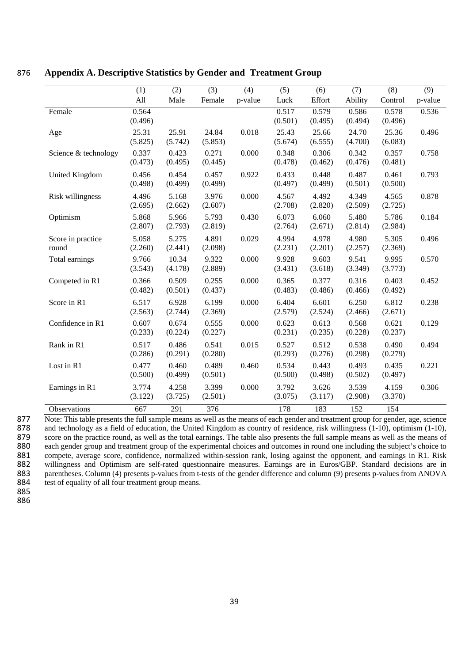|                            | (1)              | (2)              | (3)              | (4)     | (5)              | (6)              | (7)              | (8)              | (9)     |
|----------------------------|------------------|------------------|------------------|---------|------------------|------------------|------------------|------------------|---------|
|                            | All              | Male             | Female           | p-value | Luck             | Effort           | Ability          | Control          | p-value |
| Female                     | 0.564<br>(0.496) |                  |                  |         | 0.517<br>(0.501) | 0.579<br>(0.495) | 0.586<br>(0.494) | 0.578<br>(0.496) | 0.536   |
| Age                        | 25.31<br>(5.825) | 25.91<br>(5.742) | 24.84<br>(5.853) | 0.018   | 25.43<br>(5.674) | 25.66<br>(6.555) | 24.70<br>(4.700) | 25.36<br>(6.083) | 0.496   |
| Science & technology       | 0.337<br>(0.473) | 0.423<br>(0.495) | 0.271<br>(0.445) | 0.000   | 0.348<br>(0.478) | 0.306<br>(0.462) | 0.342<br>(0.476) | 0.357<br>(0.481) | 0.758   |
| United Kingdom             | 0.456<br>(0.498) | 0.454<br>(0.499) | 0.457<br>(0.499) | 0.922   | 0.433<br>(0.497) | 0.448<br>(0.499) | 0.487<br>(0.501) | 0.461<br>(0.500) | 0.793   |
| Risk willingness           | 4.496<br>(2.695) | 5.168<br>(2.662) | 3.976<br>(2.607) | 0.000   | 4.567<br>(2.708) | 4.492<br>(2.820) | 4.349<br>(2.509) | 4.565<br>(2.725) | 0.878   |
| Optimism                   | 5.868<br>(2.807) | 5.966<br>(2.793) | 5.793<br>(2.819) | 0.430   | 6.073<br>(2.764) | 6.060<br>(2.671) | 5.480<br>(2.814) | 5.786<br>(2.984) | 0.184   |
| Score in practice<br>round | 5.058<br>(2.260) | 5.275<br>(2.441) | 4.891<br>(2.098) | 0.029   | 4.994<br>(2.231) | 4.978<br>(2.201) | 4.980<br>(2.257) | 5.305<br>(2.369) | 0.496   |
| Total earnings             | 9.766<br>(3.543) | 10.34<br>(4.178) | 9.322<br>(2.889) | 0.000   | 9.928<br>(3.431) | 9.603<br>(3.618) | 9.541<br>(3.349) | 9.995<br>(3.773) | 0.570   |
| Competed in R1             | 0.366<br>(0.482) | 0.509<br>(0.501) | 0.255<br>(0.437) | 0.000   | 0.365<br>(0.483) | 0.377<br>(0.486) | 0.316<br>(0.466) | 0.403<br>(0.492) | 0.452   |
| Score in R1                | 6.517<br>(2.563) | 6.928<br>(2.744) | 6.199<br>(2.369) | 0.000   | 6.404<br>(2.579) | 6.601<br>(2.524) | 6.250<br>(2.466) | 6.812<br>(2.671) | 0.238   |
| Confidence in R1           | 0.607<br>(0.233) | 0.674<br>(0.224) | 0.555<br>(0.227) | 0.000   | 0.623<br>(0.231) | 0.613<br>(0.235) | 0.568<br>(0.228) | 0.621<br>(0.237) | 0.129   |
| Rank in R1                 | 0.517<br>(0.286) | 0.486<br>(0.291) | 0.541<br>(0.280) | 0.015   | 0.527<br>(0.293) | 0.512<br>(0.276) | 0.538<br>(0.298) | 0.490<br>(0.279) | 0.494   |
| Lost in R1                 | 0.477<br>(0.500) | 0.460<br>(0.499) | 0.489<br>(0.501) | 0.460   | 0.534<br>(0.500) | 0.443<br>(0.498) | 0.493<br>(0.502) | 0.435<br>(0.497) | 0.221   |
| Earnings in R1             | 3.774<br>(3.122) | 4.258<br>(3.725) | 3.399<br>(2.501) | 0.000   | 3.792<br>(3.075) | 3.626<br>(3.117) | 3.539<br>(2.908) | 4.159<br>(3.370) | 0.306   |
| Observations               | 667              | 291              | 376              |         | 178              | 183              | 152              | 154              |         |

## 876 **Appendix A. Descriptive Statistics by Gender and Treatment Group**

877 Note: This table presents the full sample means as well as the means of each gender and treatment group for gender, age, science and technology as a field of education, the United Kingdom as country of residence, risk 878 and technology as a field of education, the United Kingdom as country of residence, risk willingness (1-10), optimism (1-10), score on the practice round, as well as the total earnings. The table also presents the full 879 score on the practice round, as well as the total earnings. The table also presents the full sample means as well as the means of each gender group and treatment group of the experimental choices and outcomes in round 880 each gender group and treatment group of the experimental choices and outcomes in round one including the subject's choice to 881 compete, average score, confidence, normalized within-session rank, losing against the opponent, and earnings in R1. Risk willingness and Optimism are self-rated questionnaire measures. Earnings are in Euros/GBP. Stand 882 willingness and Optimism are self-rated questionnaire measures. Earnings are in Euros/GBP. Standard decisions are in parentheses. Column (4) presents p-values from t-tests of the gender difference and column (9) presen 883 parentheses. Column (4) presents p-values from t-tests of the gender difference and column (9) presents p-values from ANOVA test of equality of all four treatment group means. test of equality of all four treatment group means.

885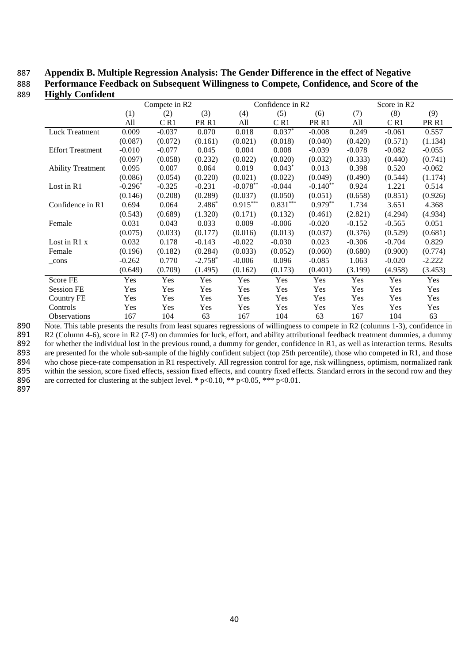## 887 **Appendix B. Multiple Regression Analysis: The Gender Difference in the effect of Negative**

888 **Performance Feedback on Subsequent Willingness to Compete, Confidence, and Score of the**  889 **Highly Confident**

|                          |           | Compete in R2 |                  |            | Confidence in R2 |                  |          | Score in R2 |                  |
|--------------------------|-----------|---------------|------------------|------------|------------------|------------------|----------|-------------|------------------|
|                          | (1)       | (2)           | (3)              | (4)        | (5)              | (6)              | (7)      | (8)         | (9)              |
|                          | All       | C R1          | PR <sub>R1</sub> | All        | C R1             | PR <sub>R1</sub> | All      | CR1         | PR <sub>R1</sub> |
| <b>Luck Treatment</b>    | 0.009     | $-0.037$      | 0.070            | 0.018      | $0.037*$         | $-0.008$         | 0.249    | $-0.061$    | 0.557            |
|                          | (0.087)   | (0.072)       | (0.161)          | (0.021)    | (0.018)          | (0.040)          | (0.420)  | (0.571)     | (1.134)          |
| <b>Effort Treatment</b>  | $-0.010$  | $-0.077$      | 0.045            | 0.004      | 0.008            | $-0.039$         | $-0.078$ | $-0.082$    | $-0.055$         |
|                          | (0.097)   | (0.058)       | (0.232)          | (0.022)    | (0.020)          | (0.032)          | (0.333)  | (0.440)     | (0.741)          |
| <b>Ability Treatment</b> | 0.095     | 0.007         | 0.064            | 0.019      | $0.043*$         | 0.013            | 0.398    | 0.520       | $-0.062$         |
|                          | (0.086)   | (0.054)       | (0.220)          | (0.021)    | (0.022)          | (0.049)          | (0.490)  | (0.544)     | (1.174)          |
| Lost in R1               | $-0.296*$ | $-0.325$      | $-0.231$         | $-0.078**$ | $-0.044$         | $-0.140**$       | 0.924    | 1.221       | 0.514            |
|                          | (0.146)   | (0.208)       | (0.289)          | (0.037)    | (0.050)          | (0.051)          | (0.658)  | (0.851)     | (0.926)          |
| Confidence in R1         | 0.694     | 0.064         | $2.486*$         | $0.915***$ | $0.831***$       | $0.979**$        | 1.734    | 3.651       | 4.368            |
|                          | (0.543)   | (0.689)       | (1.320)          | (0.171)    | (0.132)          | (0.461)          | (2.821)  | (4.294)     | (4.934)          |
| Female                   | 0.031     | 0.043         | 0.033            | 0.009      | $-0.006$         | $-0.020$         | $-0.152$ | $-0.565$    | 0.051            |
|                          | (0.075)   | (0.033)       | (0.177)          | (0.016)    | (0.013)          | (0.037)          | (0.376)  | (0.529)     | (0.681)          |
| Lost in $R1x$            | 0.032     | 0.178         | $-0.143$         | $-0.022$   | $-0.030$         | 0.023            | $-0.306$ | $-0.704$    | 0.829            |
| Female                   | (0.196)   | (0.182)       | (0.284)          | (0.033)    | (0.052)          | (0.060)          | (0.680)  | (0.900)     | (0.774)          |
| cons                     | $-0.262$  | 0.770         | $-2.758*$        | $-0.006$   | 0.096            | $-0.085$         | 1.063    | $-0.020$    | $-2.222$         |
|                          | (0.649)   | (0.709)       | (1.495)          | (0.162)    | (0.173)          | (0.401)          | (3.199)  | (4.958)     | (3.453)          |
| Score FE                 | Yes       | Yes           | Yes              | Yes        | Yes              | Yes              | Yes      | Yes         | Yes              |
| <b>Session FE</b>        | Yes       | Yes           | Yes              | Yes        | Yes              | Yes              | Yes      | Yes         | Yes              |
| Country FE               | Yes       | Yes           | Yes              | Yes        | Yes              | Yes              | Yes      | Yes         | Yes              |
| Controls                 | Yes       | Yes           | <b>Yes</b>       | Yes        | Yes              | Yes              | Yes      | Yes         | <b>Yes</b>       |
| <b>Observations</b>      | 167       | 104           | 63               | 167        | 104              | 63               | 167      | 104         | 63               |

890 Note. This table presents the results from least squares regressions of willingness to compete in R2 (columns 1-3), confidence in R2 (Column 4-6), score in R2 (7-9) on dummies for luck, effort, and ability attribution 891 R2 (Column 4-6), score in R2 (7-9) on dummies for luck, effort, and ability attributional feedback treatment dummies, a dummy for whether the individual lost in the previous round, a dummy for gender, confidence in R1, 892 for whether the individual lost in the previous round, a dummy for gender, confidence in R1, as well as interaction terms. Results are presented for the whole sub-sample of the highly confident subject (top 25th percen 893 are presented for the whole sub-sample of the highly confident subject (top 25th percentile), those who competed in R1, and those who chose piece-rate compensation in R1 respectively. All regression control for age, ri

894 who chose piece-rate compensation in R1 respectively. All regression control for age, risk willingness, optimism, normalized rank<br>895 within the session, score fixed effects, session fixed effects, and country fixed ef 895 within the session, score fixed effects, session fixed effects, and country fixed effects. Standard errors in the second row and they<br>896 are corrected for clustering at the subject level. \*  $p<0.10$ , \*\*  $p<0.05$ , \*\*\* are corrected for clustering at the subject level. \* p<0.10, \*\* p<0.05, \*\*\* p<0.01.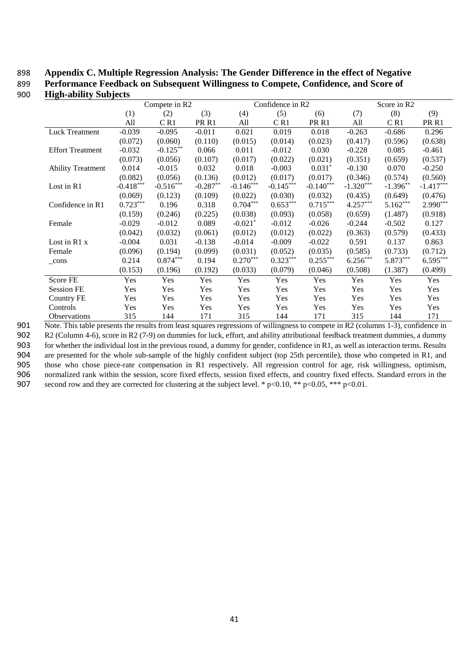## 898 **Appendix C. Multiple Regression Analysis: The Gender Difference in the effect of Negative**

899 **Performance Feedback on Subsequent Willingness to Compete, Confidence, and Score of** 

| 900 | <b>High-ability Subjects</b> |
|-----|------------------------------|
|     |                              |

|                          | Compete in R2 |             |                  | Confidence in R2      |             |                  | Score in R2 |            |                  |
|--------------------------|---------------|-------------|------------------|-----------------------|-------------|------------------|-------------|------------|------------------|
|                          | (1)           | (2)         | (3)              | (4)                   | (5)         | (6)              | (7)         | (8)        | (9)              |
|                          | All           | C R1        | PR <sub>R1</sub> | All                   | CR1         | PR <sub>R1</sub> | All         | CR1        | PR <sub>R1</sub> |
| <b>Luck Treatment</b>    | $-0.039$      | $-0.095$    | $-0.011$         | 0.021                 | 0.019       | 0.018            | $-0.263$    | $-0.686$   | 0.296            |
|                          | (0.072)       | (0.060)     | (0.110)          | (0.015)               | (0.014)     | (0.023)          | (0.417)     | (0.596)    | (0.638)          |
| <b>Effort Treatment</b>  | $-0.032$      | $-0.125***$ | 0.066            | 0.011                 | $-0.012$    | 0.030            | $-0.228$    | 0.085      | $-0.461$         |
|                          | (0.073)       | (0.056)     | (0.107)          | (0.017)               | (0.022)     | (0.021)          | (0.351)     | (0.659)    | (0.537)          |
| <b>Ability Treatment</b> | 0.014         | $-0.015$    | 0.032            | 0.018                 | $-0.003$    | $0.031*$         | $-0.130$    | 0.070      | $-0.250$         |
|                          | (0.082)       | (0.056)     | (0.136)          | (0.012)               | (0.017)     | (0.017)          | (0.346)     | (0.574)    | (0.560)          |
| Lost in R1               | $-0.418***$   | $-0.516***$ | $-0.287**$       | $-0.146***$           | $-0.145***$ | $-0.140***$      | $-1.320***$ | $-1.396**$ | $-1.417***$      |
|                          | (0.069)       | (0.123)     | (0.109)          | (0.022)               | (0.030)     | (0.032)          | (0.435)     | (0.649)    | (0.476)          |
| Confidence in R1         | $0.723***$    | 0.196       | 0.318            | $0.704***$            | $0.653***$  | $0.715***$       | $4.257***$  | $5.162***$ | 2.990***         |
|                          | (0.159)       | (0.246)     | (0.225)          | (0.038)               | (0.093)     | (0.058)          | (0.659)     | (1.487)    | (0.918)          |
| Female                   | $-0.029$      | $-0.012$    | 0.089            | $-0.021$ <sup>*</sup> | $-0.012$    | $-0.026$         | $-0.244$    | $-0.502$   | 0.127            |
|                          | (0.042)       | (0.032)     | (0.061)          | (0.012)               | (0.012)     | (0.022)          | (0.363)     | (0.579)    | (0.433)          |
| Lost in $R1x$            | $-0.004$      | 0.031       | $-0.138$         | $-0.014$              | $-0.009$    | $-0.022$         | 0.591       | 0.137      | 0.863            |
| Female                   | (0.096)       | (0.194)     | (0.099)          | (0.031)               | (0.052)     | (0.035)          | (0.585)     | (0.733)    | (0.712)          |
| cons                     | 0.214         | $0.874***$  | 0.194            | $0.270***$            | $0.323***$  | $0.255***$       | $6.256***$  | 5.873***   | $6.595***$       |
|                          | (0.153)       | (0.196)     | (0.192)          | (0.033)               | (0.079)     | (0.046)          | (0.508)     | (1.387)    | (0.499)          |
| Score FE                 | Yes           | Yes         | Yes              | Yes                   | Yes         | Yes              | Yes         | Yes        | Yes              |
| <b>Session FE</b>        | Yes           | Yes         | Yes              | Yes                   | Yes         | Yes              | Yes         | Yes        | Yes              |
| Country FE               | Yes           | Yes         | Yes              | Yes                   | Yes         | Yes              | Yes         | Yes        | Yes              |
| Controls                 | Yes           | Yes         | Yes              | Yes                   | Yes         | Yes              | Yes         | Yes        | Yes              |
| <b>Observations</b>      | 315           | 144         | 171              | 315                   | 144         | 171              | 315         | 144        | 171              |

 Note. This table presents the results from least squares regressions of willingness to compete in R2 (columns 1-3), confidence in R2 (Column 4-6), score in R2 (7-9) on dummies for luck, effort, and ability attributional feedback treatment dummies, a dummy for whether the individual lost in the previous round, a dummy for gender, confidence in R1, as well as interaction terms. Results are presented for the whole sub-sample of the highly confident subject (top 25th percentile), those who competed in R1, and

905 those who chose piece-rate compensation in R1 respectively. All regression control for age, risk willingness, optimism, 906 normalized rank within the session, score fixed effects, session fixed effects, and country fixed effects. Standard errors in the second row and they are corrected for clustering at the subject level. \*  $p \le 0.10$ , \*\* second row and they are corrected for clustering at the subject level. \*  $p<0.10$ , \*\*  $p<0.05$ , \*\*\*  $p<0.01$ .